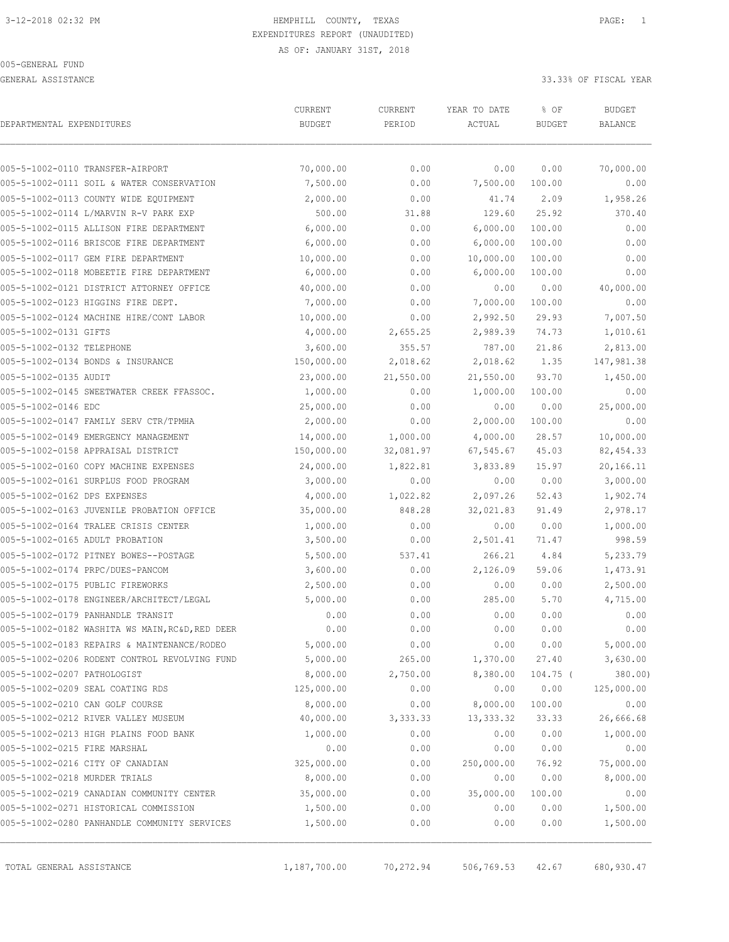GENERAL ASSISTANCE 33.33% OF FISCAL YEAR

| DEPARTMENTAL EXPENDITURES     |                                                 | CURRENT<br><b>BUDGET</b> | CURRENT<br>PERIOD | YEAR TO DATE<br>ACTUAL | % OF<br><b>BUDGET</b> | <b>BUDGET</b><br><b>BALANCE</b> |
|-------------------------------|-------------------------------------------------|--------------------------|-------------------|------------------------|-----------------------|---------------------------------|
|                               | 005-5-1002-0110 TRANSFER-AIRPORT                | 70,000.00                | 0.00              | 0.00                   | 0.00                  | 70,000.00                       |
|                               | 005-5-1002-0111 SOIL & WATER CONSERVATION       | 7,500.00                 | 0.00              | 7,500.00               | 100.00                | 0.00                            |
|                               | 005-5-1002-0113 COUNTY WIDE EQUIPMENT           | 2,000.00                 | 0.00              | 41.74                  | 2.09                  | 1,958.26                        |
|                               | 005-5-1002-0114 L/MARVIN R-V PARK EXP           | 500.00                   | 31.88             | 129.60                 | 25.92                 | 370.40                          |
|                               | 005-5-1002-0115 ALLISON FIRE DEPARTMENT         | 6,000.00                 | 0.00              | 6,000.00               | 100.00                | 0.00                            |
|                               | 005-5-1002-0116 BRISCOE FIRE DEPARTMENT         | 6,000.00                 | 0.00              | 6,000.00               | 100.00                | 0.00                            |
|                               | 005-5-1002-0117 GEM FIRE DEPARTMENT             | 10,000.00                | 0.00              | 10,000.00              | 100.00                | 0.00                            |
|                               | 005-5-1002-0118 MOBEETIE FIRE DEPARTMENT        | 6,000.00                 | 0.00              | 6,000.00               | 100.00                | 0.00                            |
|                               | 005-5-1002-0121 DISTRICT ATTORNEY OFFICE        | 40,000.00                | 0.00              | 0.00                   | 0.00                  | 40,000.00                       |
|                               | 005-5-1002-0123 HIGGINS FIRE DEPT.              | 7,000.00                 | 0.00              | 7,000.00               | 100.00                | 0.00                            |
|                               | 005-5-1002-0124 MACHINE HIRE/CONT LABOR         | 10,000.00                | 0.00              | 2,992.50               | 29.93                 | 7,007.50                        |
| 005-5-1002-0131 GIFTS         |                                                 | 4,000.00                 | 2,655.25          | 2,989.39               | 74.73                 | 1,010.61                        |
| 005-5-1002-0132 TELEPHONE     |                                                 | 3,600.00                 | 355.57            | 787.00                 | 21.86                 | 2,813.00                        |
|                               | 005-5-1002-0134 BONDS & INSURANCE               | 150,000.00               | 2,018.62          | 2,018.62               | 1.35                  | 147,981.38                      |
| 005-5-1002-0135 AUDIT         |                                                 | 23,000.00                | 21,550.00         | 21,550.00              | 93.70                 | 1,450.00                        |
|                               | 005-5-1002-0145 SWEETWATER CREEK FFASSOC.       | 1,000.00                 | 0.00              | 1,000.00               | 100.00                | 0.00                            |
| 005-5-1002-0146 EDC           |                                                 | 25,000.00                | 0.00              | 0.00                   | 0.00                  | 25,000.00                       |
|                               | 005-5-1002-0147 FAMILY SERV CTR/TPMHA           | 2,000.00                 | 0.00              | 2,000.00               | 100.00                | 0.00                            |
|                               | 005-5-1002-0149 EMERGENCY MANAGEMENT            | 14,000.00                | 1,000.00          | 4,000.00               | 28.57                 | 10,000.00                       |
|                               | 005-5-1002-0158 APPRAISAL DISTRICT              | 150,000.00               | 32,081.97         | 67,545.67              | 45.03                 | 82, 454.33                      |
|                               | 005-5-1002-0160 COPY MACHINE EXPENSES           | 24,000.00                | 1,822.81          | 3,833.89               | 15.97                 | 20,166.11                       |
|                               | 005-5-1002-0161 SURPLUS FOOD PROGRAM            | 3,000.00                 | 0.00              | 0.00                   | 0.00                  | 3,000.00                        |
| 005-5-1002-0162 DPS EXPENSES  |                                                 | 4,000.00                 | 1,022.82          | 2,097.26               | 52.43                 | 1,902.74                        |
|                               | 005-5-1002-0163 JUVENILE PROBATION OFFICE       | 35,000.00                | 848.28            | 32,021.83              | 91.49                 | 2,978.17                        |
|                               | 005-5-1002-0164 TRALEE CRISIS CENTER            | 1,000.00                 | 0.00              | 0.00                   | 0.00                  | 1,000.00                        |
|                               | 005-5-1002-0165 ADULT PROBATION                 | 3,500.00                 | 0.00              | 2,501.41               | 71.47                 | 998.59                          |
|                               | 005-5-1002-0172 PITNEY BOWES--POSTAGE           | 5,500.00                 | 537.41            | 266.21                 | 4.84                  | 5,233.79                        |
|                               | 005-5-1002-0174 PRPC/DUES-PANCOM                | 3,600.00                 | 0.00              | 2,126.09               | 59.06                 | 1,473.91                        |
|                               | 005-5-1002-0175 PUBLIC FIREWORKS                | 2,500.00                 | 0.00              | 0.00                   | 0.00                  | 2,500.00                        |
|                               | 005-5-1002-0178 ENGINEER/ARCHITECT/LEGAL        | 5,000.00                 | 0.00              | 285.00                 | 5.70                  | 4,715.00                        |
|                               | 005-5-1002-0179 PANHANDLE TRANSIT               | 0.00                     | 0.00              | 0.00                   | 0.00                  | 0.00                            |
|                               | 005-5-1002-0182 WASHITA WS MAIN, RC&D, RED DEER | 0.00                     | 0.00              | 0.00                   | 0.00                  | 0.00                            |
|                               | 005-5-1002-0183 REPAIRS & MAINTENANCE/RODEO     | 5,000.00                 | 0.00              | 0.00                   | 0.00                  | 5,000.00                        |
|                               | 005-5-1002-0206 RODENT CONTROL REVOLVING FUND   | 5,000.00                 | 265.00            | 1,370.00               | 27.40                 | 3,630.00                        |
| 005-5-1002-0207 PATHOLOGIST   |                                                 | 8,000.00                 | 2,750.00          | 8,380.00               | $104.75$ (            | 380.00)                         |
|                               | 005-5-1002-0209 SEAL COATING RDS                | 125,000.00               | 0.00              | 0.00                   | 0.00                  | 125,000.00                      |
|                               | 005-5-1002-0210 CAN GOLF COURSE                 | 8,000.00                 | 0.00              | 8,000.00               | 100.00                | 0.00                            |
|                               | 005-5-1002-0212 RIVER VALLEY MUSEUM             | 40,000.00                | 3,333.33          | 13, 333.32             | 33.33                 | 26,666.68                       |
|                               | 005-5-1002-0213 HIGH PLAINS FOOD BANK           | 1,000.00                 | 0.00              | 0.00                   | 0.00                  | 1,000.00                        |
| 005-5-1002-0215 FIRE MARSHAL  |                                                 | 0.00                     | 0.00              | 0.00                   | 0.00                  | 0.00                            |
|                               | 005-5-1002-0216 CITY OF CANADIAN                | 325,000.00               | 0.00              | 250,000.00             | 76.92                 | 75,000.00                       |
| 005-5-1002-0218 MURDER TRIALS |                                                 | 8,000.00                 | 0.00              | 0.00                   | 0.00                  | 8,000.00                        |
|                               | 005-5-1002-0219 CANADIAN COMMUNITY CENTER       | 35,000.00                | 0.00              | 35,000.00              | 100.00                | 0.00                            |
|                               | 005-5-1002-0271 HISTORICAL COMMISSION           | 1,500.00                 | 0.00              | 0.00                   | 0.00                  | 1,500.00                        |
|                               | 005-5-1002-0280 PANHANDLE COMMUNITY SERVICES    | 1,500.00                 | 0.00              | 0.00                   | 0.00                  | 1,500.00                        |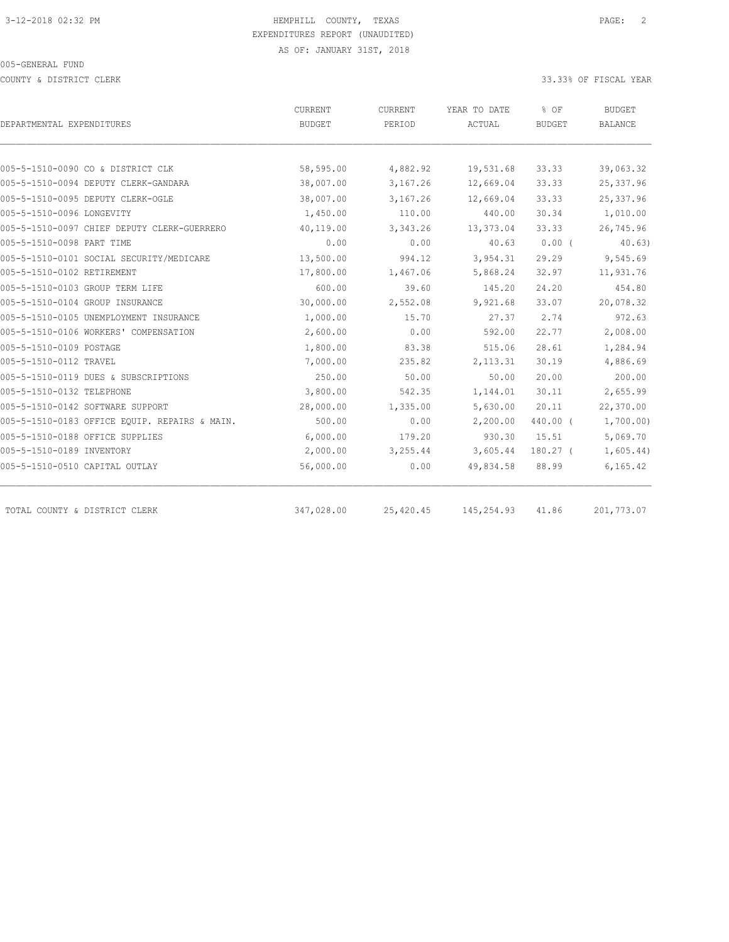COUNTY & DISTRICT CLERK 33.33% OF FISCAL YEAR

|                                               | CURRENT    | CURRENT   | YEAR TO DATE | % OF          | <b>BUDGET</b>  |
|-----------------------------------------------|------------|-----------|--------------|---------------|----------------|
| DEPARTMENTAL EXPENDITURES                     | BUDGET     | PERIOD    | ACTUAL       | <b>BUDGET</b> | <b>BALANCE</b> |
|                                               |            |           |              |               |                |
| 005-5-1510-0090 CO & DISTRICT CLK             | 58,595.00  | 4,882.92  | 19,531.68    | 33.33         | 39,063.32      |
| 005-5-1510-0094 DEPUTY CLERK-GANDARA          | 38,007.00  | 3,167.26  | 12,669.04    | 33.33         | 25, 337.96     |
| 005-5-1510-0095 DEPUTY CLERK-OGLE             | 38,007.00  | 3,167.26  | 12,669.04    | 33.33         | 25,337.96      |
| 005-5-1510-0096 LONGEVITY                     | 1,450.00   | 110.00    | 440.00       | 30.34         | 1,010.00       |
| 005-5-1510-0097 CHIEF DEPUTY CLERK-GUERRERO   | 40,119.00  | 3,343.26  | 13,373.04    | 33.33         | 26,745.96      |
| 005-5-1510-0098 PART TIME                     | 0.00       | 0.00      | 40.63        | $0.00$ (      | 40.63)         |
| 005-5-1510-0101 SOCIAL SECURITY/MEDICARE      | 13,500.00  | 994.12    | 3,954.31     | 29.29         | 9,545.69       |
| 005-5-1510-0102 RETIREMENT                    | 17,800.00  | 1,467.06  | 5,868.24     | 32.97         | 11,931.76      |
| 005-5-1510-0103 GROUP TERM LIFE               | 600.00     | 39.60     | 145.20       | 24.20         | 454.80         |
| 005-5-1510-0104 GROUP INSURANCE               | 30,000.00  | 2,552.08  | 9,921.68     | 33.07         | 20,078.32      |
| 005-5-1510-0105 UNEMPLOYMENT INSURANCE        | 1,000.00   | 15.70     | 27.37        | 2.74          | 972.63         |
| 005-5-1510-0106 WORKERS' COMPENSATION         | 2,600.00   | 0.00      | 592.00       | 22.77         | 2,008.00       |
| 005-5-1510-0109 POSTAGE                       | 1,800.00   | 83.38     | 515.06       | 28.61         | 1,284.94       |
| 005-5-1510-0112 TRAVEL                        | 7,000.00   | 235.82    | 2, 113.31    | 30.19         | 4,886.69       |
| 005-5-1510-0119 DUES & SUBSCRIPTIONS          | 250.00     | 50.00     | 50.00        | 20.00         | 200.00         |
| 005-5-1510-0132 TELEPHONE                     | 3,800.00   | 542.35    | 1,144.01     | 30.11         | 2,655.99       |
| 005-5-1510-0142 SOFTWARE SUPPORT              | 28,000.00  | 1,335.00  | 5,630.00     | 20.11         | 22,370.00      |
| 005-5-1510-0183 OFFICE EQUIP. REPAIRS & MAIN. | 500.00     | 0.00      | 2,200.00     | 440.00 (      | 1,700.00)      |
| 005-5-1510-0188 OFFICE SUPPLIES               | 6,000.00   | 179.20    | 930.30       | 15.51         | 5,069.70       |
| 005-5-1510-0189 INVENTORY                     | 2,000.00   | 3,255.44  | 3,605.44     | $180.27$ (    | 1,605.44)      |
| 005-5-1510-0510 CAPITAL OUTLAY                | 56,000.00  | 0.00      | 49,834.58    | 88.99         | 6, 165.42      |
| TOTAL COUNTY & DISTRICT CLERK                 | 347,028.00 | 25,420.45 | 145,254.93   | 41.86         | 201,773.07     |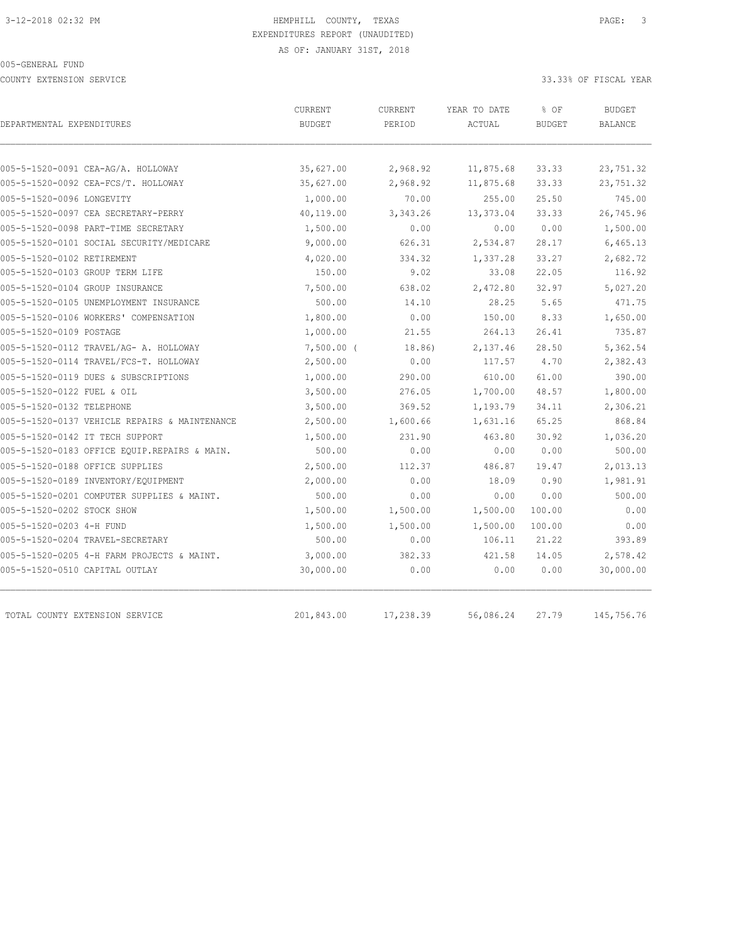COUNTY EXTENSION SERVICE 33.33% OF FISCAL YEAR

| DEPARTMENTAL EXPENDITURES                     | <b>CURRENT</b><br><b>BUDGET</b> | CURRENT<br>PERIOD | YEAR TO DATE<br>ACTUAL | % OF<br><b>BUDGET</b> | <b>BUDGET</b><br><b>BALANCE</b> |
|-----------------------------------------------|---------------------------------|-------------------|------------------------|-----------------------|---------------------------------|
|                                               |                                 |                   |                        |                       |                                 |
| 005-5-1520-0091 CEA-AG/A. HOLLOWAY            | 35,627.00                       | 2,968.92          | 11,875.68              | 33.33                 | 23,751.32                       |
| 005-5-1520-0092 CEA-FCS/T. HOLLOWAY           | 35,627.00                       | 2,968.92          | 11,875.68              | 33.33                 | 23,751.32                       |
| 005-5-1520-0096 LONGEVITY                     | 1,000.00                        | 70.00             | 255.00                 | 25.50                 | 745.00                          |
| 005-5-1520-0097 CEA SECRETARY-PERRY           | 40,119.00                       | 3,343.26          | 13,373.04              | 33.33                 | 26,745.96                       |
| 005-5-1520-0098 PART-TIME SECRETARY           | 1,500.00                        | 0.00              | 0.00                   | 0.00                  | 1,500.00                        |
| 005-5-1520-0101 SOCIAL SECURITY/MEDICARE      | 9,000.00                        | 626.31            | 2,534.87               | 28.17                 | 6,465.13                        |
| 005-5-1520-0102 RETIREMENT                    | 4,020.00                        | 334.32            | 1,337.28               | 33.27                 | 2,682.72                        |
| 005-5-1520-0103 GROUP TERM LIFE               | 150.00                          | 9.02              | 33.08                  | 22.05                 | 116.92                          |
| 005-5-1520-0104 GROUP INSURANCE               | 7,500.00                        | 638.02            | 2,472.80               | 32.97                 | 5,027.20                        |
| 005-5-1520-0105 UNEMPLOYMENT INSURANCE        | 500.00                          | 14.10             | 28.25                  | 5.65                  | 471.75                          |
| 005-5-1520-0106 WORKERS' COMPENSATION         | 1,800.00                        | 0.00              | 150.00                 | 8.33                  | 1,650.00                        |
| 005-5-1520-0109 POSTAGE                       | 1,000.00                        | 21.55             | 264.13                 | 26.41                 | 735.87                          |
| 005-5-1520-0112 TRAVEL/AG- A. HOLLOWAY        | $7,500.00$ (                    | 18.86)            | 2,137.46               | 28.50                 | 5,362.54                        |
| 005-5-1520-0114 TRAVEL/FCS-T. HOLLOWAY        | 2,500.00                        | 0.00              | 117.57                 | 4.70                  | 2,382.43                        |
| 005-5-1520-0119 DUES & SUBSCRIPTIONS          | 1,000.00                        | 290.00            | 610.00                 | 61.00                 | 390.00                          |
| 005-5-1520-0122 FUEL & OIL                    | 3,500.00                        | 276.05            | 1,700.00               | 48.57                 | 1,800.00                        |
| 005-5-1520-0132 TELEPHONE                     | 3,500.00                        | 369.52            | 1,193.79               | 34.11                 | 2,306.21                        |
| 005-5-1520-0137 VEHICLE REPAIRS & MAINTENANCE | 2,500.00                        | 1,600.66          | 1,631.16               | 65.25                 | 868.84                          |
| 005-5-1520-0142 IT TECH SUPPORT               | 1,500.00                        | 231.90            | 463.80                 | 30.92                 | 1,036.20                        |
| 005-5-1520-0183 OFFICE EQUIP.REPAIRS & MAIN.  | 500.00                          | 0.00              | 0.00                   | 0.00                  | 500.00                          |
| 005-5-1520-0188 OFFICE SUPPLIES               | 2,500.00                        | 112.37            | 486.87                 | 19.47                 | 2,013.13                        |
| 005-5-1520-0189 INVENTORY/EQUIPMENT           | 2,000.00                        | 0.00              | 18.09                  | 0.90                  | 1,981.91                        |
| 005-5-1520-0201 COMPUTER SUPPLIES & MAINT.    | 500.00                          | 0.00              | 0.00                   | 0.00                  | 500.00                          |
| 005-5-1520-0202 STOCK SHOW                    | 1,500.00                        | 1,500.00          | 1,500.00               | 100.00                | 0.00                            |
| 005-5-1520-0203 4-H FUND                      | 1,500.00                        | 1,500.00          | 1,500.00               | 100.00                | 0.00                            |
| 005-5-1520-0204 TRAVEL-SECRETARY              | 500.00                          | 0.00              | 106.11                 | 21.22                 | 393.89                          |
| 005-5-1520-0205 4-H FARM PROJECTS & MAINT.    | 3,000.00                        | 382.33            | 421.58                 | 14.05                 | 2,578.42                        |
| 005-5-1520-0510 CAPITAL OUTLAY                | 30,000.00                       | 0.00              | 0.00                   | 0.00                  | 30,000.00                       |
| TOTAL COUNTY EXTENSION SERVICE                | 201,843.00                      | 17,238.39         | 56,086.24              | 27.79                 | 145,756.76                      |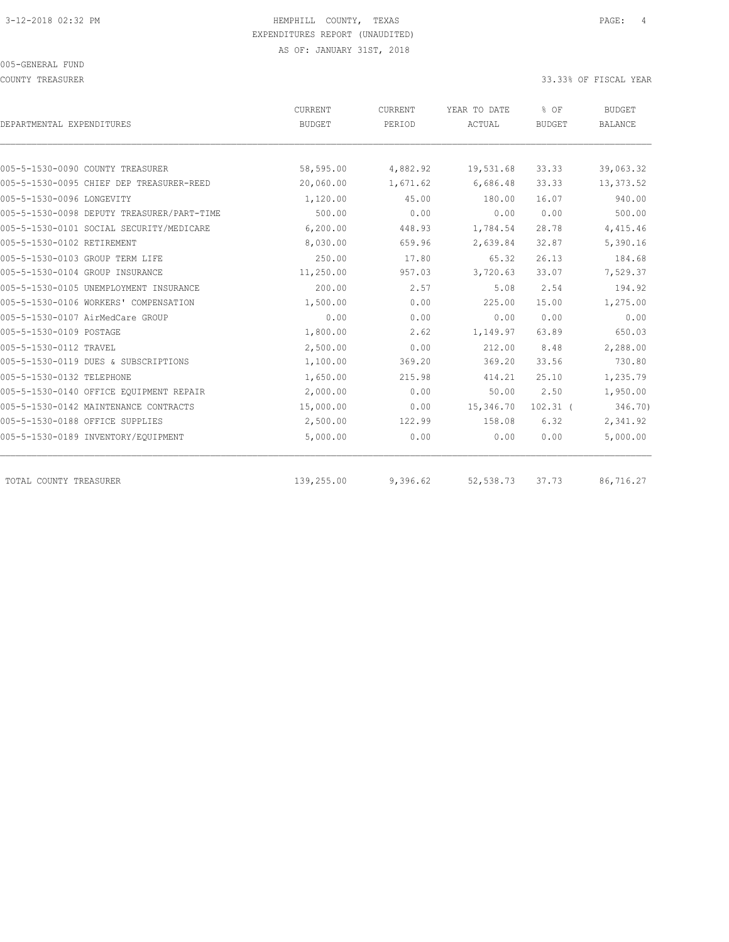COUNTY TREASURER SERVICES AND THE SERVICES OF SERVICES AND THE SERVICES OF STRUCK AND SOMETHEAR COUNTY TREASURER

|                                            | CURRENT       | CURRENT  | YEAR TO DATE | % OF          | <b>BUDGET</b>  |
|--------------------------------------------|---------------|----------|--------------|---------------|----------------|
| DEPARTMENTAL EXPENDITURES                  | <b>BUDGET</b> | PERIOD   | ACTUAL       | <b>BUDGET</b> | <b>BALANCE</b> |
|                                            |               |          |              |               |                |
| 005-5-1530-0090 COUNTY TREASURER           | 58,595.00     | 4,882.92 | 19,531.68    | 33.33         | 39,063.32      |
| 005-5-1530-0095 CHIEF DEP TREASURER-REED   | 20,060.00     | 1,671.62 | 6,686.48     | 33.33         | 13,373.52      |
| 005-5-1530-0096 LONGEVITY                  | 1,120.00      | 45.00    | 180.00       | 16.07         | 940.00         |
| 005-5-1530-0098 DEPUTY TREASURER/PART-TIME | 500.00        | 0.00     | 0.00         | 0.00          | 500.00         |
| 005-5-1530-0101 SOCIAL SECURITY/MEDICARE   | 6,200.00      | 448.93   | 1,784.54     | 28.78         | 4,415.46       |
| 005-5-1530-0102 RETIREMENT                 | 8,030.00      | 659.96   | 2,639.84     | 32.87         | 5,390.16       |
| 005-5-1530-0103 GROUP TERM LIFE            | 250.00        | 17.80    | 65.32        | 26.13         | 184.68         |
| 005-5-1530-0104 GROUP INSURANCE            | 11,250.00     | 957.03   | 3,720.63     | 33.07         | 7,529.37       |
| 005-5-1530-0105 UNEMPLOYMENT INSURANCE     | 200.00        | 2.57     | 5.08         | 2.54          | 194.92         |
| 005-5-1530-0106 WORKERS' COMPENSATION      | 1,500.00      | 0.00     | 225.00       | 15.00         | 1,275.00       |
| 005-5-1530-0107 AirMedCare GROUP           | 0.00          | 0.00     | 0.00         | 0.00          | 0.00           |
| 005-5-1530-0109 POSTAGE                    | 1,800.00      | 2.62     | 1,149.97     | 63.89         | 650.03         |
| 005-5-1530-0112 TRAVEL                     | 2,500.00      | 0.00     | 212.00       | 8.48          | 2,288.00       |
| 005-5-1530-0119 DUES & SUBSCRIPTIONS       | 1,100.00      | 369.20   | 369.20       | 33.56         | 730.80         |
| 005-5-1530-0132 TELEPHONE                  | 1,650.00      | 215.98   | 414.21       | 25.10         | 1,235.79       |
| 005-5-1530-0140 OFFICE EOUIPMENT REPAIR    | 2,000.00      | 0.00     | 50.00        | 2.50          | 1,950.00       |
| 005-5-1530-0142 MAINTENANCE CONTRACTS      | 15,000.00     | 0.00     | 15,346.70    | $102.31$ (    | 346.70)        |
| 005-5-1530-0188 OFFICE SUPPLIES            | 2,500.00      | 122.99   | 158.08       | 6.32          | 2,341.92       |
| 005-5-1530-0189 INVENTORY/EQUIPMENT        | 5,000.00      | 0.00     | 0.00         | 0.00          | 5,000.00       |
| TOTAL COUNTY TREASURER                     | 139,255.00    | 9,396.62 | 52, 538.73   | 37.73         | 86,716.27      |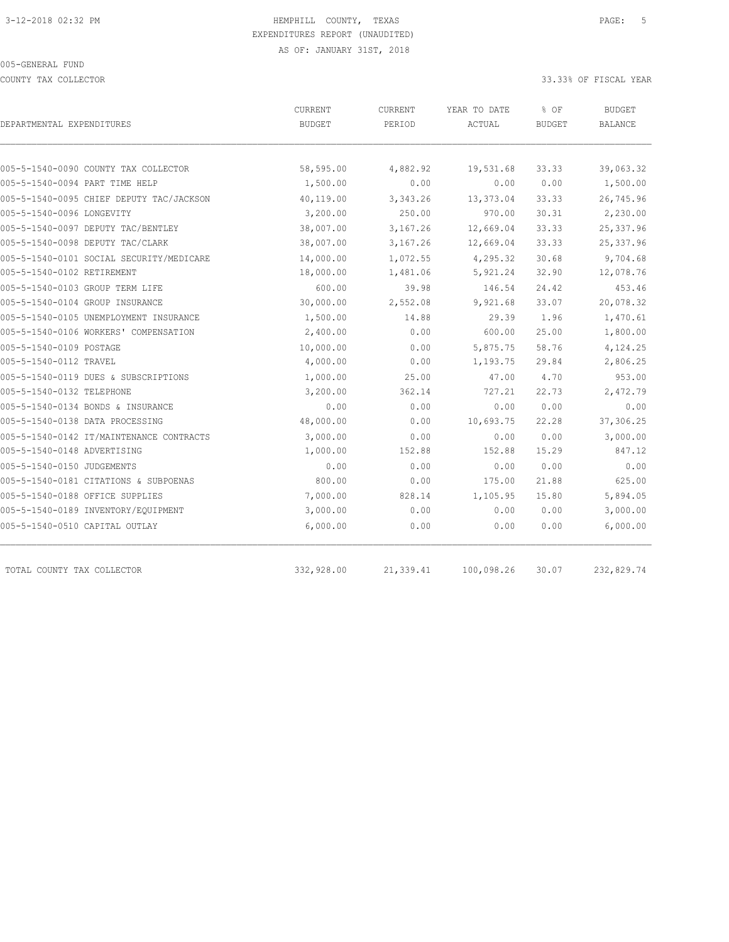COUNTY TAX COLLECTOR 33.33% OF FISCAL YEAR

| DEPARTMENTAL EXPENDITURES                | CURRENT<br><b>BUDGET</b> | CURRENT<br>PERIOD | YEAR TO DATE<br>ACTUAL | % OF<br><b>BUDGET</b> | <b>BUDGET</b><br><b>BALANCE</b> |
|------------------------------------------|--------------------------|-------------------|------------------------|-----------------------|---------------------------------|
|                                          |                          |                   |                        |                       |                                 |
| 005-5-1540-0090 COUNTY TAX COLLECTOR     | 58,595.00                | 4,882.92          | 19,531.68              | 33.33                 | 39,063.32                       |
| 005-5-1540-0094 PART TIME HELP           | 1,500.00                 | 0.00              | 0.00                   | 0.00                  | 1,500.00                        |
| 005-5-1540-0095 CHIEF DEPUTY TAC/JACKSON | 40,119.00                | 3,343.26          | 13,373.04              | 33.33                 | 26,745.96                       |
| 005-5-1540-0096 LONGEVITY                | 3,200.00                 | 250.00            | 970.00                 | 30.31                 | 2,230.00                        |
| 005-5-1540-0097 DEPUTY TAC/BENTLEY       | 38,007.00                | 3,167.26          | 12,669.04              | 33.33                 | 25, 337.96                      |
| 005-5-1540-0098 DEPUTY TAC/CLARK         | 38,007.00                | 3,167.26          | 12,669.04              | 33.33                 | 25, 337.96                      |
| 005-5-1540-0101 SOCIAL SECURITY/MEDICARE | 14,000.00                | 1,072.55          | 4,295.32               | 30.68                 | 9,704.68                        |
| 005-5-1540-0102 RETIREMENT               | 18,000.00                | 1,481.06          | 5,921.24               | 32.90                 | 12,078.76                       |
| 005-5-1540-0103 GROUP TERM LIFE          | 600.00                   | 39.98             | 146.54                 | 24.42                 | 453.46                          |
| 005-5-1540-0104 GROUP INSURANCE          | 30,000.00                | 2,552.08          | 9,921.68               | 33.07                 | 20,078.32                       |
| 005-5-1540-0105 UNEMPLOYMENT INSURANCE   | 1,500.00                 | 14.88             | 29.39                  | 1.96                  | 1,470.61                        |
| 005-5-1540-0106 WORKERS' COMPENSATION    | 2,400.00                 | 0.00              | 600.00                 | 25.00                 | 1,800.00                        |
| 005-5-1540-0109 POSTAGE                  | 10,000.00                | 0.00              | 5,875.75               | 58.76                 | 4,124.25                        |
| 005-5-1540-0112 TRAVEL                   | 4,000.00                 | 0.00              | 1,193.75               | 29.84                 | 2,806.25                        |
| 005-5-1540-0119 DUES & SUBSCRIPTIONS     | 1,000.00                 | 25.00             | 47.00                  | 4.70                  | 953.00                          |
| 005-5-1540-0132 TELEPHONE                | 3,200.00                 | 362.14            | 727.21                 | 22.73                 | 2,472.79                        |
| 005-5-1540-0134 BONDS & INSURANCE        | 0.00                     | 0.00              | 0.00                   | 0.00                  | 0.00                            |
| 005-5-1540-0138 DATA PROCESSING          | 48,000.00                | 0.00              | 10,693.75              | 22.28                 | 37,306.25                       |
| 005-5-1540-0142 IT/MAINTENANCE CONTRACTS | 3,000.00                 | 0.00              | 0.00                   | 0.00                  | 3,000.00                        |
| 005-5-1540-0148 ADVERTISING              | 1,000.00                 | 152.88            | 152.88                 | 15.29                 | 847.12                          |
| 005-5-1540-0150 JUDGEMENTS               | 0.00                     | 0.00              | 0.00                   | 0.00                  | 0.00                            |
| 005-5-1540-0181 CITATIONS & SUBPOENAS    | 800.00                   | 0.00              | 175.00                 | 21.88                 | 625.00                          |
| 005-5-1540-0188 OFFICE SUPPLIES          | 7,000.00                 | 828.14            | 1,105.95               | 15.80                 | 5,894.05                        |
| 005-5-1540-0189 INVENTORY/EQUIPMENT      | 3,000.00                 | 0.00              | 0.00                   | 0.00                  | 3,000.00                        |
| 005-5-1540-0510 CAPITAL OUTLAY           | 6,000.00                 | 0.00              | 0.00                   | 0.00                  | 6,000.00                        |
| TOTAL COUNTY TAX COLLECTOR               | 332,928.00               | 21,339.41         | 100,098.26             | 30.07                 | 232,829.74                      |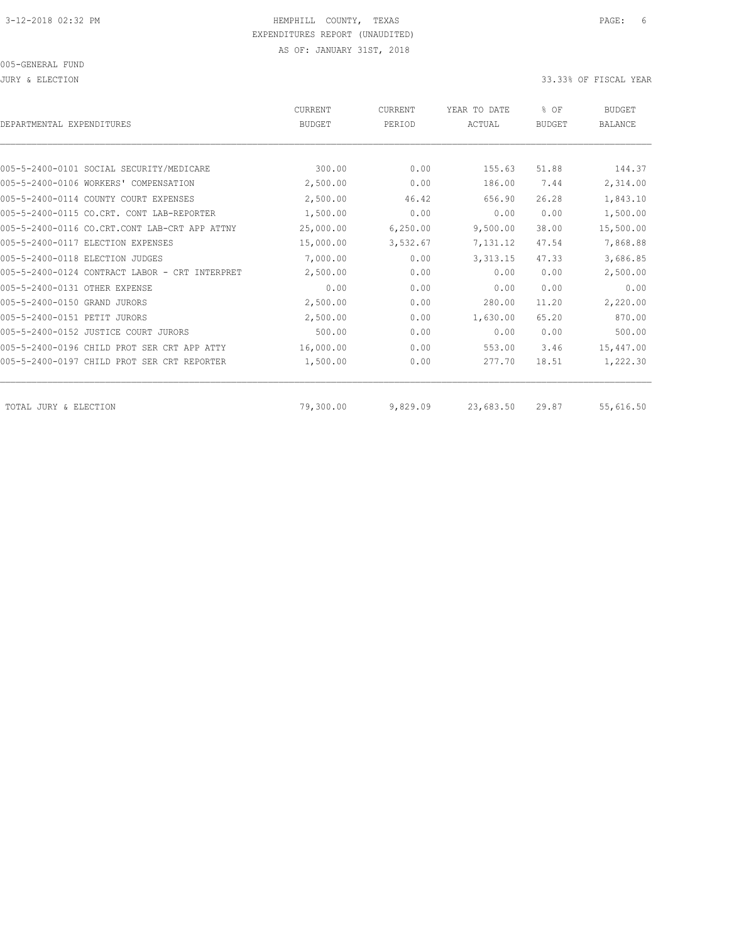JURY & ELECTION 33.33% OF FISCAL YEAR

| DEPARTMENTAL EXPENDITURES                      | <b>CURRENT</b><br><b>BUDGET</b> | <b>CURRENT</b><br>PERIOD | YEAR TO DATE<br>ACTUAL | % OF<br><b>BUDGET</b> | <b>BUDGET</b><br><b>BALANCE</b> |
|------------------------------------------------|---------------------------------|--------------------------|------------------------|-----------------------|---------------------------------|
|                                                |                                 |                          |                        |                       |                                 |
| 005-5-2400-0101 SOCIAL SECURITY/MEDICARE       | 300.00                          | 0.00                     | 155.63                 | 51.88                 | 144.37                          |
| 005-5-2400-0106 WORKERS' COMPENSATION          | 2,500.00                        | 0.00                     | 186.00                 | 7.44                  | 2,314.00                        |
| 005-5-2400-0114 COUNTY COURT EXPENSES          | 2,500.00                        | 46.42                    | 656.90                 | 26.28                 | 1,843.10                        |
| 005-5-2400-0115 CO.CRT. CONT LAB-REPORTER      | 1,500.00                        | 0.00                     | 0.00                   | 0.00                  | 1,500.00                        |
| 005-5-2400-0116 CO.CRT.CONT LAB-CRT APP ATTNY  | 25,000.00                       | 6,250.00                 | 9,500.00               | 38.00                 | 15,500.00                       |
| 005-5-2400-0117 ELECTION EXPENSES              | 15,000.00                       | 3,532.67                 | 7,131.12               | 47.54                 | 7,868.88                        |
| 005-5-2400-0118 RLECTION JUDGES                | 7,000.00                        | 0.00                     | 3, 313.15              | 47.33                 | 3,686.85                        |
| 005-5-2400-0124 CONTRACT LABOR - CRT INTERPRET | 2,500.00                        | 0.00                     | 0.00                   | 0.00                  | 2,500.00                        |
| 005-5-2400-0131 OTHER EXPENSE                  | 0.00                            | 0.00                     | 0.00                   | 0.00                  | 0.00                            |
| 005-5-2400-0150 GRAND JURORS                   | 2,500.00                        | 0.00                     | 280.00                 | 11.20                 | 2,220.00                        |
| 005-5-2400-0151 PETIT JURORS                   | 2,500.00                        | 0.00                     | 1,630.00               | 65.20                 | 870.00                          |
| 005-5-2400-0152 JUSTICE COURT JURORS           | 500.00                          | 0.00                     | 0.00                   | 0.00                  | 500.00                          |
| 005-5-2400-0196 CHILD PROT SER CRT APP ATTY    | 16,000.00                       | 0.00                     | 553.00                 | 3.46                  | 15,447.00                       |
| 005-5-2400-0197 CHILD PROT SER CRT REPORTER    | 1,500.00                        | 0.00                     | 277.70                 | 18.51                 | 1,222.30                        |
| TOTAL JURY & ELECTION                          | 79,300.00                       | 9,829.09                 | 23,683.50              | 29.87                 | 55,616.50                       |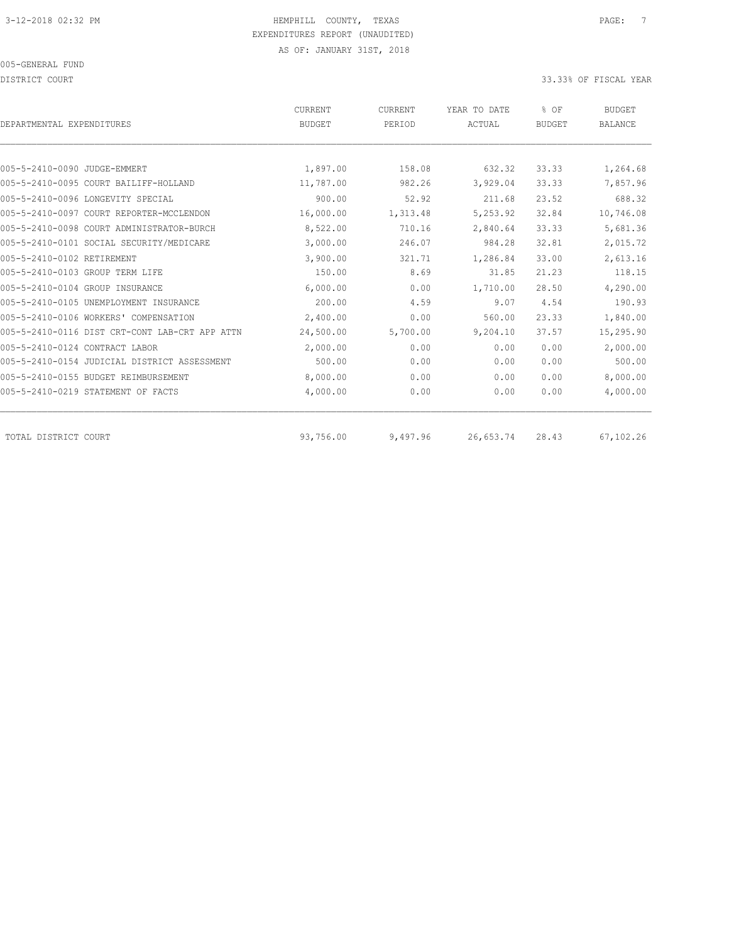DISTRICT COURT COURT COURT COURT COURT COURT COURT COURT COURT COURT COURT COURT COURT COURT COURT COURT COURT

| DEPARTMENTAL EXPENDITURES                      | <b>CURRENT</b><br><b>BUDGET</b> | CURRENT<br>PERIOD | YEAR TO DATE<br>ACTUAL | % OF<br><b>BUDGET</b> | <b>BUDGET</b><br><b>BALANCE</b> |
|------------------------------------------------|---------------------------------|-------------------|------------------------|-----------------------|---------------------------------|
|                                                |                                 |                   |                        |                       |                                 |
| 005-5-2410-0090 JUDGE-EMMERT                   | 1,897.00                        | 158.08            | 632.32                 | 33.33                 | 1,264.68                        |
| 005-5-2410-0095 COURT BAILIFF-HOLLAND          | 11,787.00                       | 982.26            | 3,929.04               | 33.33                 | 7,857.96                        |
| 005-5-2410-0096 LONGEVITY SPECIAL              | 900.00                          | 52.92             | 211.68                 | 23.52                 | 688.32                          |
| 005-5-2410-0097 COURT REPORTER-MCCLENDON       | 16,000.00                       | 1,313.48          | 5,253.92               | 32.84                 | 10,746.08                       |
| 005-5-2410-0098 COURT ADMINISTRATOR-BURCH      | 8,522.00                        | 710.16            | 2,840.64               | 33.33                 | 5,681.36                        |
| 005-5-2410-0101 SOCIAL SECURITY/MEDICARE       | 3,000.00                        | 246.07            | 984.28                 | 32.81                 | 2,015.72                        |
| 005-5-2410-0102 RETIREMENT                     | 3,900.00                        | 321.71            | 1,286.84               | 33.00                 | 2,613.16                        |
| 005-5-2410-0103 GROUP TERM LIFE                | 150.00                          | 8.69              | 31.85                  | 21.23                 | 118.15                          |
| 005-5-2410-0104 GROUP INSURANCE                | 6,000.00                        | 0.00              | 1,710.00               | 28.50                 | 4,290.00                        |
| 005-5-2410-0105 UNEMPLOYMENT INSURANCE         | 200.00                          | 4.59              | 9.07                   | 4.54                  | 190.93                          |
| 005-5-2410-0106 WORKERS' COMPENSATION          | 2,400.00                        | 0.00              | 560.00                 | 23.33                 | 1,840.00                        |
| 005-5-2410-0116 DIST CRT-CONT LAB-CRT APP ATTN | 24,500.00                       | 5,700.00          | 9,204.10               | 37.57                 | 15,295.90                       |
| 005-5-2410-0124 CONTRACT LABOR                 | 2,000.00                        | 0.00              | 0.00                   | 0.00                  | 2,000.00                        |
| 005-5-2410-0154 JUDICIAL DISTRICT ASSESSMENT   | 500.00                          | 0.00              | 0.00                   | 0.00                  | 500.00                          |
| 005-5-2410-0155 BUDGET REIMBURSEMENT           | 8,000.00                        | 0.00              | 0.00                   | 0.00                  | 8,000.00                        |
| 005-5-2410-0219 STATEMENT OF FACTS             | 4,000.00                        | 0.00              | 0.00                   | 0.00                  | 4,000.00                        |
| TOTAL DISTRICT COURT                           | 93,756.00                       | 9,497.96          | 26,653.74              | 28.43                 | 67,102.26                       |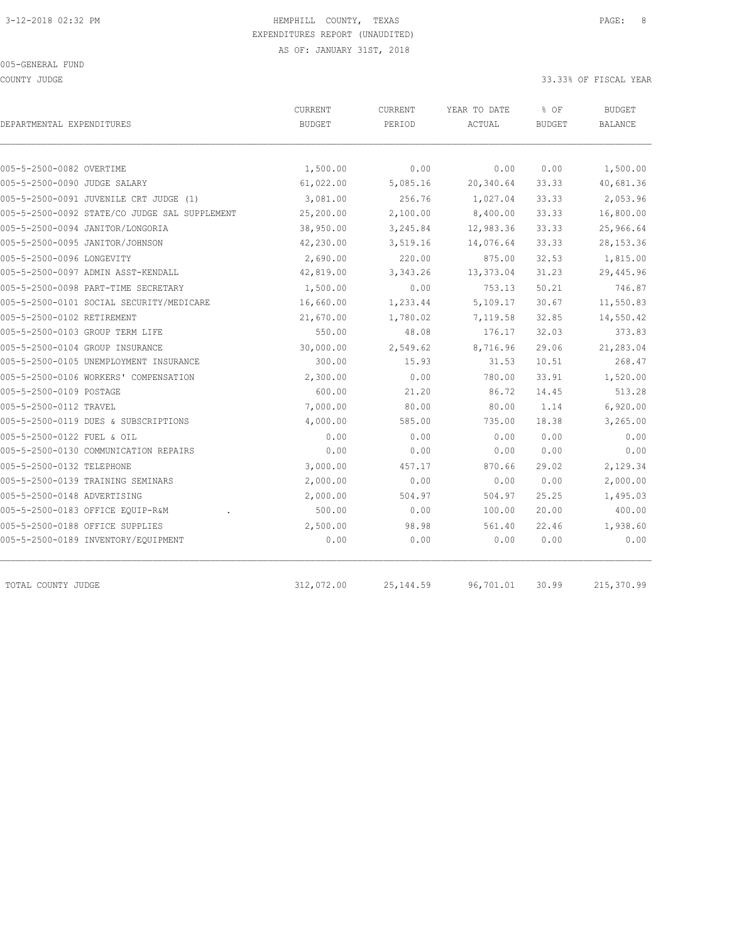COUNTY JUDGE 33.33% OF FISCAL YEAR

| DEPARTMENTAL EXPENDITURES                     | CURRENT<br><b>BUDGET</b> | CURRENT<br>PERIOD | YEAR TO DATE<br>ACTUAL | % OF<br><b>BUDGET</b> | <b>BUDGET</b><br><b>BALANCE</b> |
|-----------------------------------------------|--------------------------|-------------------|------------------------|-----------------------|---------------------------------|
|                                               |                          |                   |                        |                       |                                 |
| 005-5-2500-0082 OVERTIME                      | 1,500.00                 | 0.00              | 0.00                   | 0.00                  | 1,500.00                        |
| 005-5-2500-0090 JUDGE SALARY                  | 61,022.00                | 5,085.16          | 20,340.64              | 33.33                 | 40,681.36                       |
| 005-5-2500-0091 JUVENILE CRT JUDGE (1)        | 3,081.00                 | 256.76            | 1,027.04               | 33.33                 | 2,053.96                        |
| 005-5-2500-0092 STATE/CO JUDGE SAL SUPPLEMENT | 25,200.00                | 2,100.00          | 8,400.00               | 33.33                 | 16,800.00                       |
| 005-5-2500-0094 JANITOR/LONGORIA              | 38,950.00                | 3,245.84          | 12,983.36              | 33.33                 | 25,966.64                       |
| 005-5-2500-0095 JANITOR/JOHNSON               | 42,230.00                | 3,519.16          | 14,076.64              | 33.33                 | 28, 153. 36                     |
| 005-5-2500-0096 LONGEVITY                     | 2,690.00                 | 220.00            | 875.00                 | 32.53                 | 1,815.00                        |
| 005-5-2500-0097 ADMIN ASST-KENDALL            | 42,819.00                | 3,343.26          | 13,373.04              | 31.23                 | 29,445.96                       |
| 005-5-2500-0098 PART-TIME SECRETARY           | 1,500.00                 | 0.00              | 753.13                 | 50.21                 | 746.87                          |
| 005-5-2500-0101 SOCIAL SECURITY/MEDICARE      | 16,660.00                | 1,233.44          | 5,109.17               | 30.67                 | 11,550.83                       |
| 005-5-2500-0102 RETIREMENT                    | 21,670.00                | 1,780.02          | 7,119.58               | 32.85                 | 14,550.42                       |
| 005-5-2500-0103 GROUP TERM LIFE               | 550.00                   | 48.08             | 176.17                 | 32.03                 | 373.83                          |
| 005-5-2500-0104 GROUP INSURANCE               | 30,000.00                | 2,549.62          | 8,716.96               | 29.06                 | 21,283.04                       |
| 005-5-2500-0105 UNEMPLOYMENT INSURANCE        | 300.00                   | 15.93             | 31.53                  | 10.51                 | 268.47                          |
| 005-5-2500-0106 WORKERS' COMPENSATION         | 2,300.00                 | 0.00              | 780.00                 | 33.91                 | 1,520.00                        |
| 005-5-2500-0109 POSTAGE                       | 600.00                   | 21.20             | 86.72                  | 14.45                 | 513.28                          |
| 005-5-2500-0112 TRAVEL                        | 7,000.00                 | 80.00             | 80.00                  | 1.14                  | 6,920.00                        |
| 005-5-2500-0119 DUES & SUBSCRIPTIONS          | 4,000.00                 | 585.00            | 735.00                 | 18.38                 | 3,265.00                        |
| 005-5-2500-0122 FUEL & OIL                    | 0.00                     | 0.00              | 0.00                   | 0.00                  | 0.00                            |
| 005-5-2500-0130 COMMUNICATION REPAIRS         | 0.00                     | 0.00              | 0.00                   | 0.00                  | 0.00                            |
| 005-5-2500-0132 TELEPHONE                     | 3,000.00                 | 457.17            | 870.66                 | 29.02                 | 2,129.34                        |
| 005-5-2500-0139 TRAINING SEMINARS             | 2,000.00                 | 0.00              | 0.00                   | 0.00                  | 2,000.00                        |
| 005-5-2500-0148 ADVERTISING                   | 2,000.00                 | 504.97            | 504.97                 | 25.25                 | 1,495.03                        |
| 005-5-2500-0183 OFFICE EQUIP-R&M              | 500.00                   | 0.00              | 100.00                 | 20.00                 | 400.00                          |
| 005-5-2500-0188 OFFICE SUPPLIES               | 2,500.00                 | 98.98             | 561.40                 | 22.46                 | 1,938.60                        |
| 005-5-2500-0189 INVENTORY/EQUIPMENT           | 0.00                     | 0.00              | 0.00                   | 0.00                  | 0.00                            |
| TOTAL COUNTY JUDGE                            | 312,072.00               | 25, 144.59        | 96,701.01              | 30.99                 | 215,370.99                      |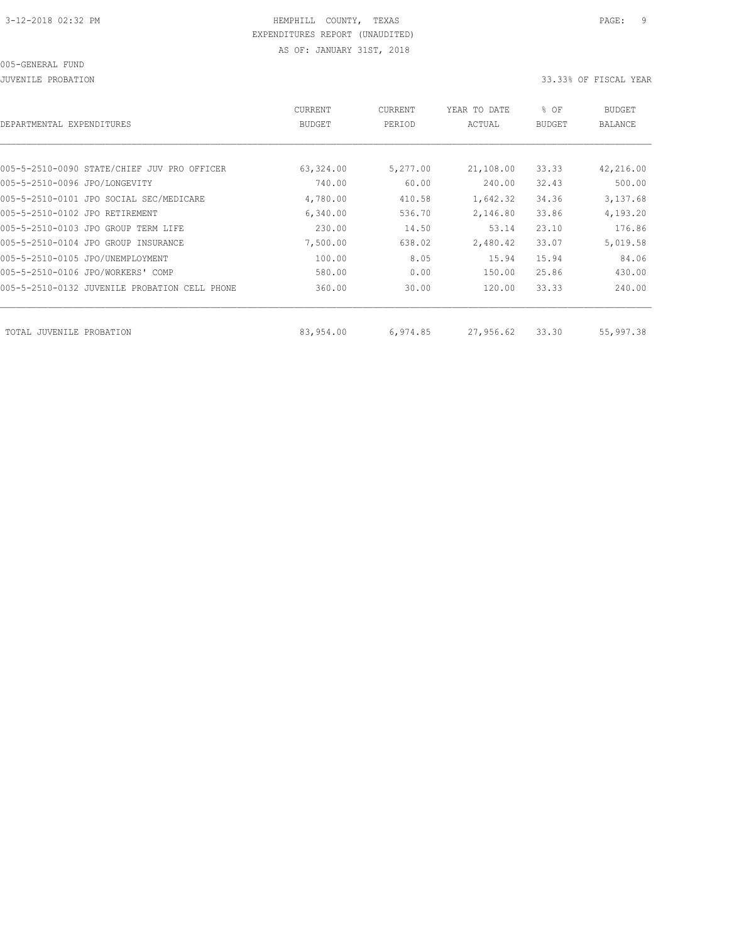JUVENILE PROBATION 33.33% OF FISCAL YEAR

| CURRENT<br><b>BUDGET</b> | CURRENT<br>PERIOD | YEAR TO DATE<br>ACTUAL | % OF<br>BUDGET | BUDGET<br>BALANCE |
|--------------------------|-------------------|------------------------|----------------|-------------------|
|                          |                   |                        |                |                   |
| 63,324.00                | 5,277.00          | 21,108.00              | 33.33          | 42,216.00         |
| 740.00                   | 60.00             | 240.00                 | 32.43          | 500.00            |
| 4,780.00                 | 410.58            | 1,642.32               | 34.36          | 3,137.68          |
| 6,340.00                 | 536.70            | 2,146.80               | 33.86          | 4,193.20          |
| 230.00                   | 14.50             | 53.14                  | 23.10          | 176.86            |
| 7,500.00                 | 638.02            | 2,480.42               | 33.07          | 5,019.58          |
| 100.00                   | 8.05              | 15.94                  | 15.94          | 84.06             |
| 580.00                   | 0.00              | 150.00                 | 25.86          | 430.00            |
| 360.00                   | 30.00             | 120.00                 | 33.33          | 240.00            |
|                          |                   |                        |                | 55,997.38         |
|                          | 83,954.00         | 6,974.85               | 27,956.62      | 33.30             |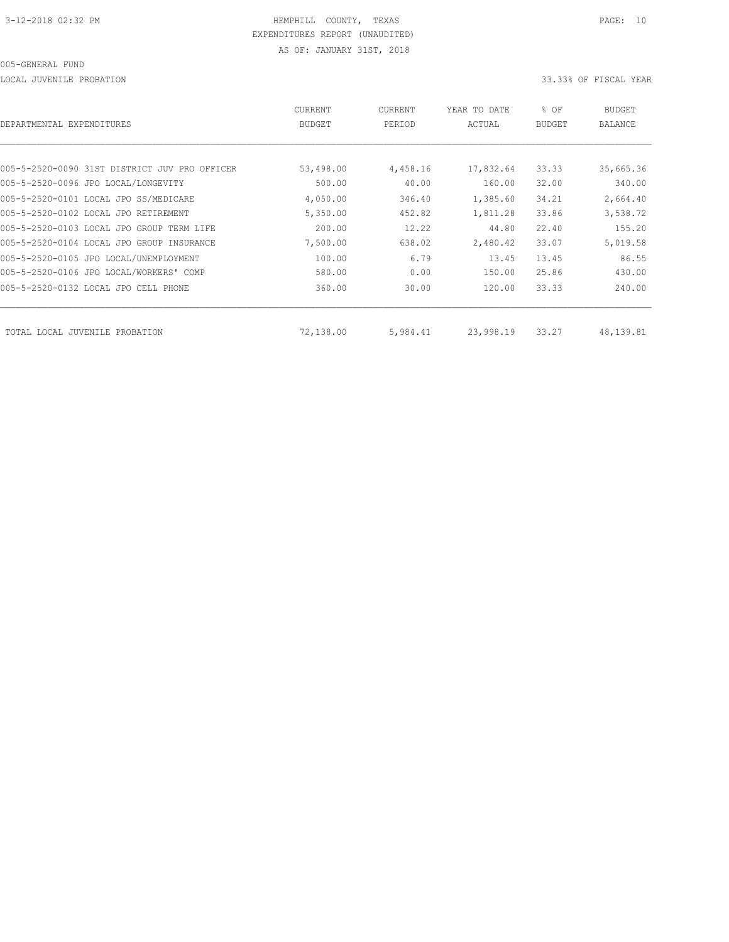LOCAL JUVENILE PROBATION 33.33% OF FISCAL YEAR

| DEPARTMENTAL EXPENDITURES                     | <b>CURRENT</b><br><b>BUDGET</b> | CURRENT<br>PERIOD | YEAR TO DATE<br>ACTUAL | % OF<br><b>BUDGET</b> | BUDGET<br><b>BALANCE</b> |
|-----------------------------------------------|---------------------------------|-------------------|------------------------|-----------------------|--------------------------|
|                                               |                                 |                   |                        |                       |                          |
| 005-5-2520-0090 31ST DISTRICT JUV PRO OFFICER | 53,498.00                       | 4,458.16          | 17,832.64              | 33.33                 | 35,665.36                |
| 005-5-2520-0096 JPO LOCAL/LONGEVITY           | 500.00                          | 40.00             | 160.00                 | 32.00                 | 340.00                   |
| 005-5-2520-0101 LOCAL JPO SS/MEDICARE         | 4,050.00                        | 346.40            | 1,385.60               | 34.21                 | 2,664.40                 |
| 005-5-2520-0102 LOCAL JPO RETIREMENT          | 5,350.00                        | 452.82            | 1,811.28               | 33.86                 | 3,538.72                 |
| 005-5-2520-0103 LOCAL JPO GROUP TERM LIFE     | 200.00                          | 12.22             | 44.80                  | 22.40                 | 155.20                   |
| 005-5-2520-0104 LOCAL JPO GROUP INSURANCE     | 7,500.00                        | 638.02            | 2,480.42               | 33.07                 | 5,019.58                 |
| 005-5-2520-0105 JPO LOCAL/UNEMPLOYMENT        | 100.00                          | 6.79              | 13.45                  | 13.45                 | 86.55                    |
| 005-5-2520-0106 JPO LOCAL/WORKERS' COMP       | 580.00                          | 0.00              | 150.00                 | 25.86                 | 430.00                   |
| 005-5-2520-0132 LOCAL JPO CELL PHONE          | 360.00                          | 30.00             | 120.00                 | 33.33                 | 240.00                   |
| TOTAL LOCAL JUVENILE PROBATION                | 72,138.00                       | 5,984.41          | 23,998.19              | 33.27                 | 48, 139.81               |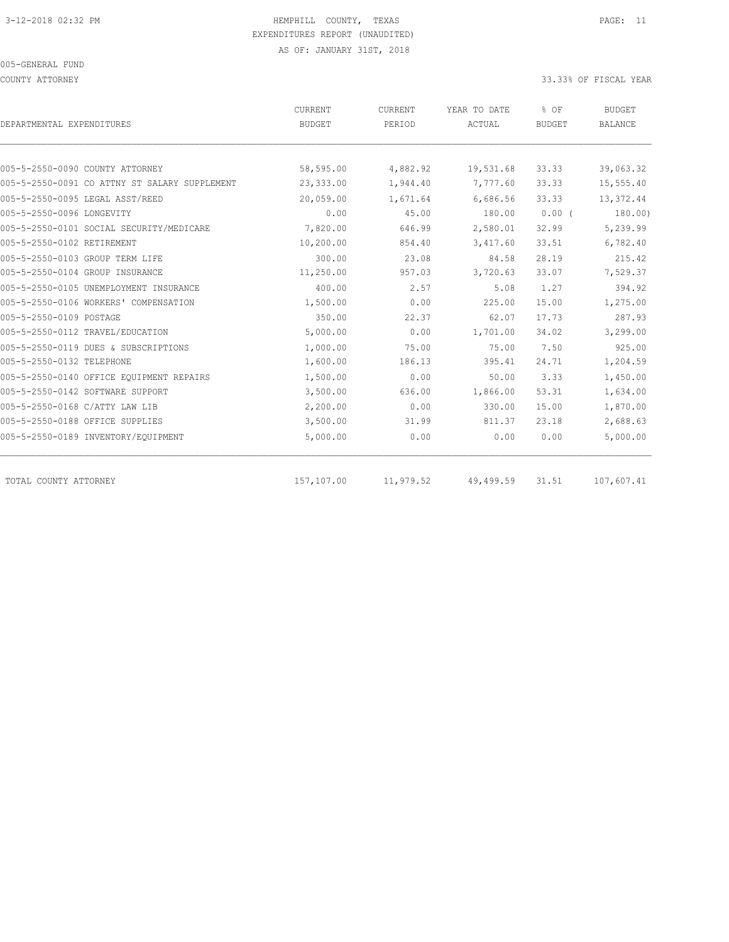COUNTY ATTORNEY 33.33% OF FISCAL YEAR

| DEPARTMENTAL EXPENDITURES                     | <b>CURRENT</b><br><b>BUDGET</b> | <b>CURRENT</b><br>PERIOD | YEAR TO DATE<br>ACTUAL | % OF<br><b>BUDGET</b> | <b>BUDGET</b><br><b>BALANCE</b> |
|-----------------------------------------------|---------------------------------|--------------------------|------------------------|-----------------------|---------------------------------|
|                                               |                                 |                          |                        |                       |                                 |
| 005-5-2550-0090 COUNTY ATTORNEY               | 58,595.00                       | 4,882.92                 | 19,531.68              | 33.33                 | 39,063.32                       |
| 005-5-2550-0091 CO ATTNY ST SALARY SUPPLEMENT | 23,333.00                       | 1,944.40                 | 7,777.60               | 33.33                 | 15,555.40                       |
| 005-5-2550-0095 LEGAL ASST/REED               | 20,059.00                       | 1,671.64                 | 6,686.56               | 33.33                 | 13,372.44                       |
| 005-5-2550-0096 LONGEVITY                     | 0.00                            | 45.00                    | 180.00                 | $0.00$ (              | 180.00)                         |
| 005-5-2550-0101 SOCIAL SECURITY/MEDICARE      | 7,820.00                        | 646.99                   | 2,580.01               | 32.99                 | 5,239.99                        |
| 005-5-2550-0102 RETIREMENT                    | 10,200.00                       | 854.40                   | 3,417.60               | 33.51                 | 6,782.40                        |
| 005-5-2550-0103 GROUP TERM LIFE               | 300.00                          | 23.08                    | 84.58                  | 28.19                 | 215.42                          |
| 005-5-2550-0104 GROUP INSURANCE               | 11,250.00                       | 957.03                   | 3,720.63               | 33.07                 | 7,529.37                        |
| 005-5-2550-0105 UNEMPLOYMENT INSURANCE        | 400.00                          | 2.57                     | 5.08                   | 1.27                  | 394.92                          |
| 005-5-2550-0106 WORKERS' COMPENSATION         | 1,500.00                        | 0.00                     | 225.00                 | 15.00                 | 1,275.00                        |
| 005-5-2550-0109 POSTAGE                       | 350.00                          | 22.37                    | 62.07                  | 17.73                 | 287.93                          |
| 005-5-2550-0112 TRAVEL/EDUCATION              | 5,000.00                        | 0.00                     | 1,701.00               | 34.02                 | 3,299.00                        |
| 005-5-2550-0119 DUES & SUBSCRIPTIONS          | 1,000.00                        | 75.00                    | 75.00                  | 7.50                  | 925.00                          |
| 005-5-2550-0132 TELEPHONE                     | 1,600.00                        | 186.13                   | 395.41                 | 24.71                 | 1,204.59                        |
| 005-5-2550-0140 OFFICE EQUIPMENT REPAIRS      | 1,500.00                        | 0.00                     | 50.00                  | 3.33                  | 1,450.00                        |
| 005-5-2550-0142 SOFTWARE SUPPORT              | 3,500.00                        | 636.00                   | 1,866.00               | 53.31                 | 1,634.00                        |
| 005-5-2550-0168 C/ATTY LAW LIB                | 2,200.00                        | 0.00                     | 330.00                 | 15.00                 | 1,870.00                        |
| 005-5-2550-0188 OFFICE SUPPLIES               | 3,500.00                        | 31.99                    | 811.37                 | 23.18                 | 2,688.63                        |
| 005-5-2550-0189 INVENTORY/EQUIPMENT           | 5,000.00                        | 0.00                     | 0.00                   | 0.00                  | 5,000.00                        |
| TOTAL COUNTY ATTORNEY                         | 157,107.00                      | 11,979.52                | 49,499.59              | 31.51                 | 107,607.41                      |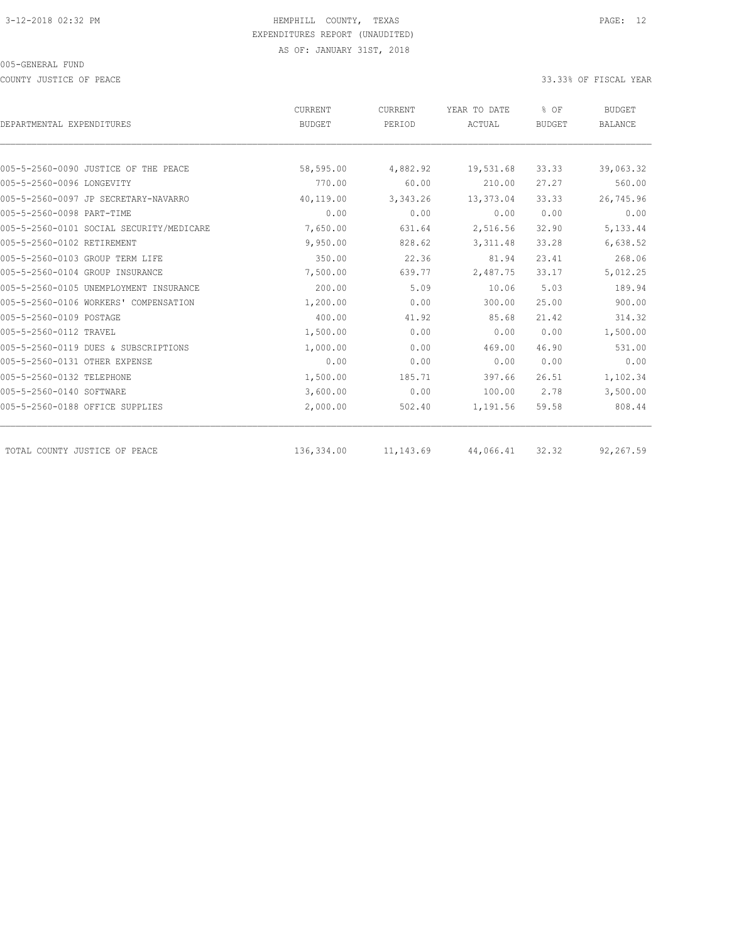COUNTY JUSTICE OF PEACE **33.33%** OF FISCAL YEAR

|                                          | CURRENT       | CURRENT    | YEAR TO DATE  | % OF          | <b>BUDGET</b>  |
|------------------------------------------|---------------|------------|---------------|---------------|----------------|
| DEPARTMENTAL EXPENDITURES                | <b>BUDGET</b> | PERIOD     | <b>ACTUAL</b> | <b>BUDGET</b> | <b>BALANCE</b> |
|                                          |               |            |               |               |                |
| 005-5-2560-0090 JUSTICE OF THE PEACE     | 58,595.00     | 4,882.92   | 19,531.68     | 33.33         | 39,063.32      |
| 005-5-2560-0096 LONGEVITY                | 770.00        | 60.00      | 210.00        | 27.27         | 560.00         |
| 005-5-2560-0097 JP SECRETARY-NAVARRO     | 40,119.00     | 3,343.26   | 13,373.04     | 33.33         | 26,745.96      |
| 005-5-2560-0098 PART-TIME                | 0.00          | 0.00       | 0.00          | 0.00          | 0.00           |
| 005-5-2560-0101 SOCIAL SECURITY/MEDICARE | 7,650.00      | 631.64     | 2,516.56      | 32.90         | 5,133.44       |
| 005-5-2560-0102 RETIREMENT               | 9,950.00      | 828.62     | 3, 311.48     | 33.28         | 6,638.52       |
| 005-5-2560-0103 GROUP TERM LIFE          | 350.00        | 22.36      | 81.94         | 23.41         | 268.06         |
| 005-5-2560-0104 GROUP INSURANCE          | 7,500.00      | 639.77     | 2,487.75      | 33.17         | 5,012.25       |
| 005-5-2560-0105 UNEMPLOYMENT INSURANCE   | 200.00        | 5.09       | 10.06         | 5.03          | 189.94         |
| 005-5-2560-0106 WORKERS' COMPENSATION    | 1,200.00      | 0.00       | 300.00        | 25.00         | 900.00         |
| 005-5-2560-0109 POSTAGE                  | 400.00        | 41.92      | 85.68         | 21.42         | 314.32         |
| 005-5-2560-0112 TRAVEL                   | 1,500.00      | 0.00       | 0.00          | 0.00          | 1,500.00       |
| 005-5-2560-0119 DUES & SUBSCRIPTIONS     | 1,000.00      | 0.00       | 469.00        | 46.90         | 531.00         |
| 005-5-2560-0131 OTHER EXPENSE            | 0.00          | 0.00       | 0.00          | 0.00          | 0.00           |
| 005-5-2560-0132 TELEPHONE                | 1,500.00      | 185.71     | 397.66        | 26.51         | 1,102.34       |
| 005-5-2560-0140 SOFTWARE                 | 3,600.00      | 0.00       | 100.00        | 2.78          | 3,500.00       |
| 005-5-2560-0188 OFFICE SUPPLIES          | 2,000.00      | 502.40     | 1,191.56      | 59.58         | 808.44         |
| TOTAL COUNTY JUSTICE OF PEACE            | 136,334.00    | 11, 143.69 | 44,066.41     | 32.32         | 92,267.59      |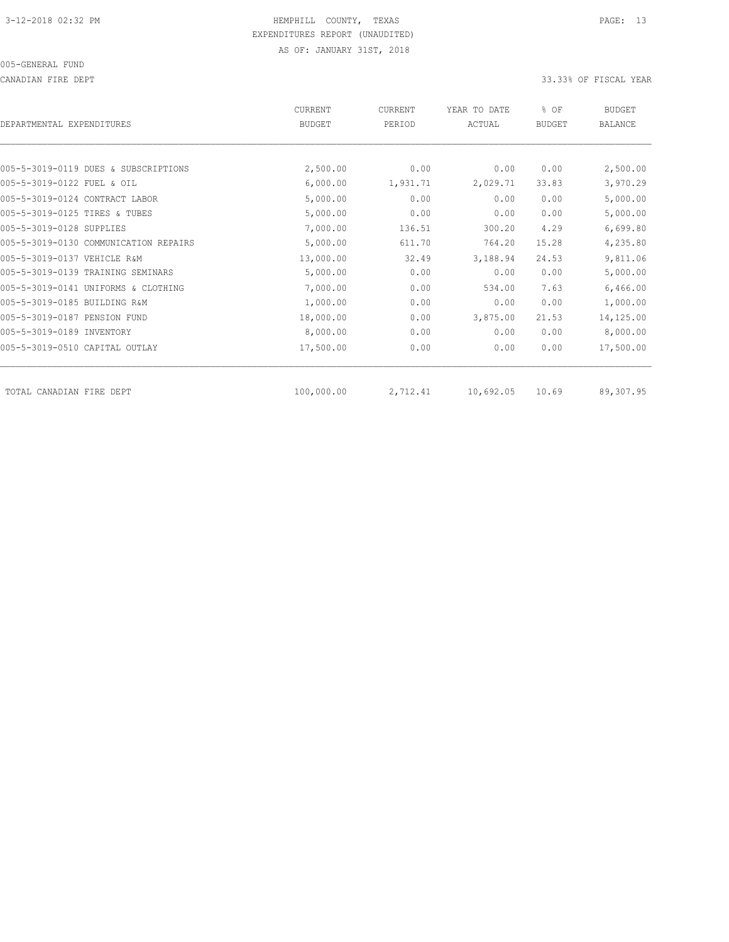CANADIAN FIRE DEPT 33.33% OF FISCAL YEAR

| DEPARTMENTAL EXPENDITURES      |                                       | CURRENT<br><b>BUDGET</b> | <b>CURRENT</b><br>PERIOD | YEAR TO DATE<br>ACTUAL | % OF<br><b>BUDGET</b> | <b>BUDGET</b><br><b>BALANCE</b> |
|--------------------------------|---------------------------------------|--------------------------|--------------------------|------------------------|-----------------------|---------------------------------|
|                                |                                       |                          |                          |                        |                       |                                 |
|                                | 005-5-3019-0119 DUES & SUBSCRIPTIONS  | 2,500.00                 | 0.00                     | 0.00                   | 0.00                  | 2,500.00                        |
| 005-5-3019-0122 FUEL & OIL     |                                       | 6,000.00                 | 1,931.71                 | 2,029.71               | 33.83                 | 3,970.29                        |
| 005-5-3019-0124 CONTRACT LABOR |                                       | 5,000.00                 | 0.00                     | 0.00                   | 0.00                  | 5,000.00                        |
| 005-5-3019-0125 TIRES & TUBES  |                                       | 5,000.00                 | 0.00                     | 0.00                   | 0.00                  | 5,000.00                        |
| 005-5-3019-0128 SUPPLIES       |                                       | 7,000.00                 | 136.51                   | 300.20                 | 4.29                  | 6,699.80                        |
|                                | 005-5-3019-0130 COMMUNICATION REPAIRS | 5,000.00                 | 611.70                   | 764.20                 | 15.28                 | 4,235.80                        |
| 005-5-3019-0137 VEHICLE R&M    |                                       | 13,000.00                | 32.49                    | 3,188.94               | 24.53                 | 9,811.06                        |
|                                | 005-5-3019-0139 TRAINING SEMINARS     | 5,000.00                 | 0.00                     | 0.00                   | 0.00                  | 5,000.00                        |
|                                | 005-5-3019-0141 UNIFORMS & CLOTHING   | 7,000.00                 | 0.00                     | 534.00                 | 7.63                  | 6,466.00                        |
| 005-5-3019-0185 BUILDING R&M   |                                       | 1,000.00                 | 0.00                     | 0.00                   | 0.00                  | 1,000.00                        |
| 005-5-3019-0187 PENSION FUND   |                                       | 18,000.00                | 0.00                     | 3,875.00               | 21.53                 | 14,125.00                       |
| 005-5-3019-0189 INVENTORY      |                                       | 8,000.00                 | 0.00                     | 0.00                   | 0.00                  | 8,000.00                        |
| 005-5-3019-0510 CAPITAL OUTLAY |                                       | 17,500.00                | 0.00                     | 0.00                   | 0.00                  | 17,500.00                       |
| TOTAL CANADIAN FIRE DEPT       |                                       | 100,000.00               | 2,712.41                 | 10,692.05              | 10.69                 | 89,307.95                       |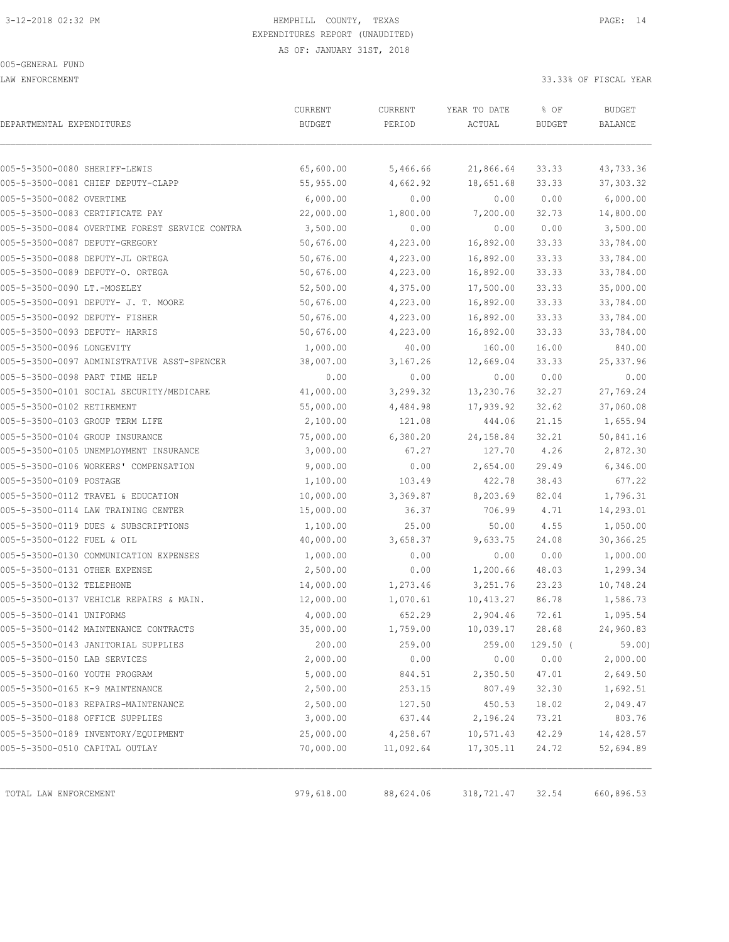LAW ENFORCEMENT 33.33% OF FISCAL YEAR

| DEPARTMENTAL EXPENDITURES                      | CURRENT<br><b>BUDGET</b> | CURRENT<br>PERIOD | YEAR TO DATE<br>ACTUAL | % OF<br><b>BUDGET</b> | <b>BUDGET</b><br>BALANCE |
|------------------------------------------------|--------------------------|-------------------|------------------------|-----------------------|--------------------------|
|                                                |                          |                   |                        |                       |                          |
| 005-5-3500-0080 SHERIFF-LEWIS                  | 65,600.00                | 5,466.66          | 21,866.64              | 33.33                 | 43,733.36                |
| 005-5-3500-0081 CHIEF DEPUTY-CLAPP             | 55,955.00                | 4,662.92          | 18,651.68              | 33.33                 | 37, 303.32               |
| 005-5-3500-0082 OVERTIME                       | 6,000.00                 | 0.00              | 0.00                   | 0.00                  | 6,000.00                 |
| 005-5-3500-0083 CERTIFICATE PAY                | 22,000.00                | 1,800.00          | 7,200.00               | 32.73                 | 14,800.00                |
| 005-5-3500-0084 OVERTIME FOREST SERVICE CONTRA | 3,500.00                 | 0.00              | 0.00                   | 0.00                  | 3,500.00                 |
| 005-5-3500-0087 DEPUTY-GREGORY                 | 50,676.00                | 4,223.00          | 16,892.00              | 33.33                 | 33,784.00                |
| 005-5-3500-0088 DEPUTY-JL ORTEGA               | 50,676.00                | 4,223.00          | 16,892.00              | 33.33                 | 33,784.00                |
| 005-5-3500-0089 DEPUTY-O. ORTEGA               | 50,676.00                | 4,223.00          | 16,892.00              | 33.33                 | 33,784.00                |
| 005-5-3500-0090 LT.-MOSELEY                    | 52,500.00                | 4,375.00          | 17,500.00              | 33.33                 | 35,000.00                |
| 005-5-3500-0091 DEPUTY- J. T. MOORE            | 50,676.00                | 4,223.00          | 16,892.00              | 33.33                 | 33,784.00                |
| 005-5-3500-0092 DEPUTY- FISHER                 | 50,676.00                | 4,223.00          | 16,892.00              | 33.33                 | 33,784.00                |
| 005-5-3500-0093 DEPUTY- HARRIS                 | 50,676.00                | 4,223.00          | 16,892.00              | 33.33                 | 33,784.00                |
| 005-5-3500-0096 LONGEVITY                      | 1,000.00                 | 40.00             | 160.00                 | 16.00                 | 840.00                   |
| 005-5-3500-0097 ADMINISTRATIVE ASST-SPENCER    | 38,007.00                | 3,167.26          | 12,669.04              | 33.33                 | 25, 337.96               |
| 005-5-3500-0098 PART TIME HELP                 | 0.00                     | 0.00              | 0.00                   | 0.00                  | 0.00                     |
| 005-5-3500-0101 SOCIAL SECURITY/MEDICARE       | 41,000.00                | 3,299.32          | 13,230.76              | 32.27                 | 27,769.24                |
| 005-5-3500-0102 RETIREMENT                     | 55,000.00                | 4,484.98          | 17,939.92              | 32.62                 | 37,060.08                |
| 005-5-3500-0103 GROUP TERM LIFE                | 2,100.00                 | 121.08            | 444.06                 | 21.15                 | 1,655.94                 |
| 005-5-3500-0104 GROUP INSURANCE                | 75,000.00                | 6,380.20          | 24,158.84              | 32.21                 | 50,841.16                |
| 005-5-3500-0105 UNEMPLOYMENT INSURANCE         | 3,000.00                 | 67.27             | 127.70                 | 4.26                  | 2,872.30                 |
| 005-5-3500-0106 WORKERS' COMPENSATION          | 9,000.00                 | 0.00              | 2,654.00               | 29.49                 | 6,346.00                 |
| 005-5-3500-0109 POSTAGE                        | 1,100.00                 | 103.49            | 422.78                 | 38.43                 | 677.22                   |
| 005-5-3500-0112 TRAVEL & EDUCATION             | 10,000.00                | 3,369.87          | 8,203.69               | 82.04                 | 1,796.31                 |
| 005-5-3500-0114 LAW TRAINING CENTER            | 15,000.00                | 36.37             | 706.99                 | 4.71                  | 14,293.01                |
| 005-5-3500-0119 DUES & SUBSCRIPTIONS           | 1,100.00                 | 25.00             | 50.00                  | 4.55                  | 1,050.00                 |
| 005-5-3500-0122 FUEL & OIL                     | 40,000.00                | 3,658.37          | 9,633.75               | 24.08                 | 30,366.25                |
| 005-5-3500-0130 COMMUNICATION EXPENSES         | 1,000.00                 | 0.00              | 0.00                   | 0.00                  | 1,000.00                 |
| 005-5-3500-0131 OTHER EXPENSE                  | 2,500.00                 | 0.00              | 1,200.66               | 48.03                 | 1,299.34                 |
| 005-5-3500-0132 TELEPHONE                      | 14,000.00                | 1,273.46          | 3,251.76               | 23.23                 | 10,748.24                |
| 005-5-3500-0137 VEHICLE REPAIRS & MAIN.        | 12,000.00                | 1,070.61          | 10,413.27              | 86.78                 | 1,586.73                 |
| 005-5-3500-0141 UNIFORMS                       | 4,000.00                 | 652.29            | 2,904.46               | 72.61                 | 1,095.54                 |
| 005-5-3500-0142 MAINTENANCE CONTRACTS          | 35,000.00                | 1,759.00          | 10,039.17              | 28.68                 | 24,960.83                |
| 005-5-3500-0143 JANITORIAL SUPPLIES            | 200.00                   | 259.00            | 259.00                 | $129.50$ (            | 59.00                    |
| 005-5-3500-0150 LAB SERVICES                   | 2,000.00                 | 0.00              | 0.00                   | 0.00                  | 2,000.00                 |
| 005-5-3500-0160 YOUTH PROGRAM                  | 5,000.00                 | 844.51            | 2,350.50               | 47.01                 | 2,649.50                 |
| 005-5-3500-0165 K-9 MAINTENANCE                | 2,500.00                 | 253.15            | 807.49                 | 32.30                 | 1,692.51                 |
| 005-5-3500-0183 REPAIRS-MAINTENANCE            | 2,500.00                 | 127.50            | 450.53                 | 18.02                 | 2,049.47                 |
| 005-5-3500-0188 OFFICE SUPPLIES                | 3,000.00                 | 637.44            | 2,196.24               | 73.21                 | 803.76                   |
| 005-5-3500-0189 INVENTORY/EQUIPMENT            | 25,000.00                | 4,258.67          | 10,571.43              | 42.29                 | 14,428.57                |
| 005-5-3500-0510 CAPITAL OUTLAY                 | 70,000.00                | 11,092.64         | 17,305.11              | 24.72                 | 52,694.89                |
| TOTAL LAW ENFORCEMENT                          | 979,618.00               | 88,624.06         | 318,721.47             | 32.54                 | 660,896.53               |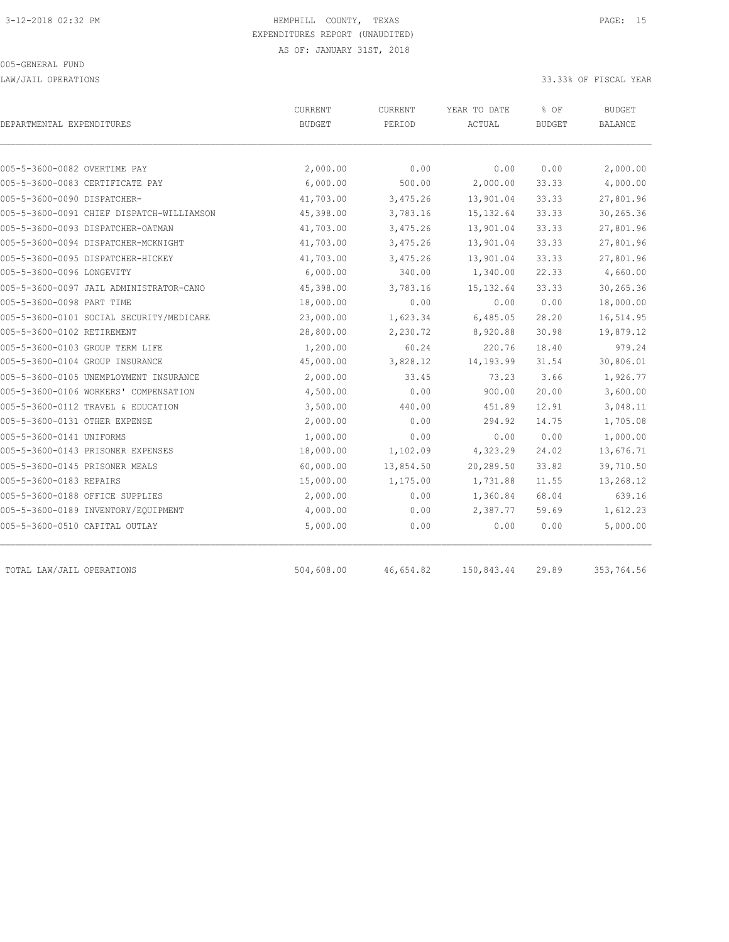LAW/JAIL OPERATIONS 33.33% OF FISCAL YEAR

| DEPARTMENTAL EXPENDITURES                 | CURRENT<br><b>BUDGET</b> | CURRENT<br>PERIOD | YEAR TO DATE<br>ACTUAL | % OF<br><b>BUDGET</b> | <b>BUDGET</b><br><b>BALANCE</b> |
|-------------------------------------------|--------------------------|-------------------|------------------------|-----------------------|---------------------------------|
|                                           |                          |                   |                        |                       |                                 |
| 005-5-3600-0082 OVERTIME PAY              | 2,000.00                 | 0.00              | 0.00                   | 0.00                  | 2,000.00                        |
| 005-5-3600-0083 CERTIFICATE PAY           | 6,000.00                 | 500.00            | 2,000.00               | 33.33                 | 4,000.00                        |
| 005-5-3600-0090 DISPATCHER-               | 41,703.00                | 3,475.26          | 13,901.04              | 33.33                 | 27,801.96                       |
| 005-5-3600-0091 CHIEF DISPATCH-WILLIAMSON | 45,398.00                | 3,783.16          | 15, 132.64             | 33.33                 | 30,265.36                       |
| 005-5-3600-0093 DISPATCHER-OATMAN         | 41,703.00                | 3,475.26          | 13,901.04              | 33.33                 | 27,801.96                       |
| 005-5-3600-0094 DISPATCHER-MCKNIGHT       | 41,703.00                | 3,475.26          | 13,901.04              | 33.33                 | 27,801.96                       |
| 005-5-3600-0095 DISPATCHER-HICKEY         | 41,703.00                | 3,475.26          | 13,901.04              | 33.33                 | 27,801.96                       |
| 005-5-3600-0096 LONGEVITY                 | 6,000.00                 | 340.00            | 1,340.00               | 22.33                 | 4,660.00                        |
| 005-5-3600-0097 JAIL ADMINISTRATOR-CANO   | 45,398.00                | 3,783.16          | 15, 132.64             | 33.33                 | 30,265.36                       |
| 005-5-3600-0098 PART TIME                 | 18,000.00                | 0.00              | 0.00                   | 0.00                  | 18,000.00                       |
| 005-5-3600-0101 SOCIAL SECURITY/MEDICARE  | 23,000.00                | 1,623.34          | 6,485.05               | 28.20                 | 16,514.95                       |
| 005-5-3600-0102 RETIREMENT                | 28,800.00                | 2,230.72          | 8,920.88               | 30.98                 | 19,879.12                       |
| 005-5-3600-0103 GROUP TERM LIFE           | 1,200.00                 | 60.24             | 220.76                 | 18.40                 | 979.24                          |
| 005-5-3600-0104 GROUP INSURANCE           | 45,000.00                | 3,828.12          | 14, 193.99             | 31.54                 | 30,806.01                       |
| 005-5-3600-0105 UNEMPLOYMENT INSURANCE    | 2,000.00                 | 33.45             | 73.23                  | 3.66                  | 1,926.77                        |
| 005-5-3600-0106 WORKERS' COMPENSATION     | 4,500.00                 | 0.00              | 900.00                 | 20.00                 | 3,600.00                        |
| 005-5-3600-0112 TRAVEL & EDUCATION        | 3,500.00                 | 440.00            | 451.89                 | 12.91                 | 3,048.11                        |
| 005-5-3600-0131 OTHER EXPENSE             | 2,000.00                 | 0.00              | 294.92                 | 14.75                 | 1,705.08                        |
| 005-5-3600-0141 UNIFORMS                  | 1,000.00                 | 0.00              | 0.00                   | 0.00                  | 1,000.00                        |
| 005-5-3600-0143 PRISONER EXPENSES         | 18,000.00                | 1,102.09          | 4,323.29               | 24.02                 | 13,676.71                       |
| 005-5-3600-0145 PRISONER MEALS            | 60,000.00                | 13,854.50         | 20,289.50              | 33.82                 | 39,710.50                       |
| 005-5-3600-0183 REPAIRS                   | 15,000.00                | 1,175.00          | 1,731.88               | 11.55                 | 13,268.12                       |
| 005-5-3600-0188 OFFICE SUPPLIES           | 2,000.00                 | 0.00              | 1,360.84               | 68.04                 | 639.16                          |
| 005-5-3600-0189 INVENTORY/EQUIPMENT       | 4,000.00                 | 0.00              | 2,387.77               | 59.69                 | 1,612.23                        |
| 005-5-3600-0510 CAPITAL OUTLAY            | 5,000.00                 | 0.00              | 0.00                   | 0.00                  | 5,000.00                        |
| TOTAL LAW/JAIL OPERATIONS                 | 504,608.00               | 46,654.82         | 150,843.44             | 29.89                 | 353,764.56                      |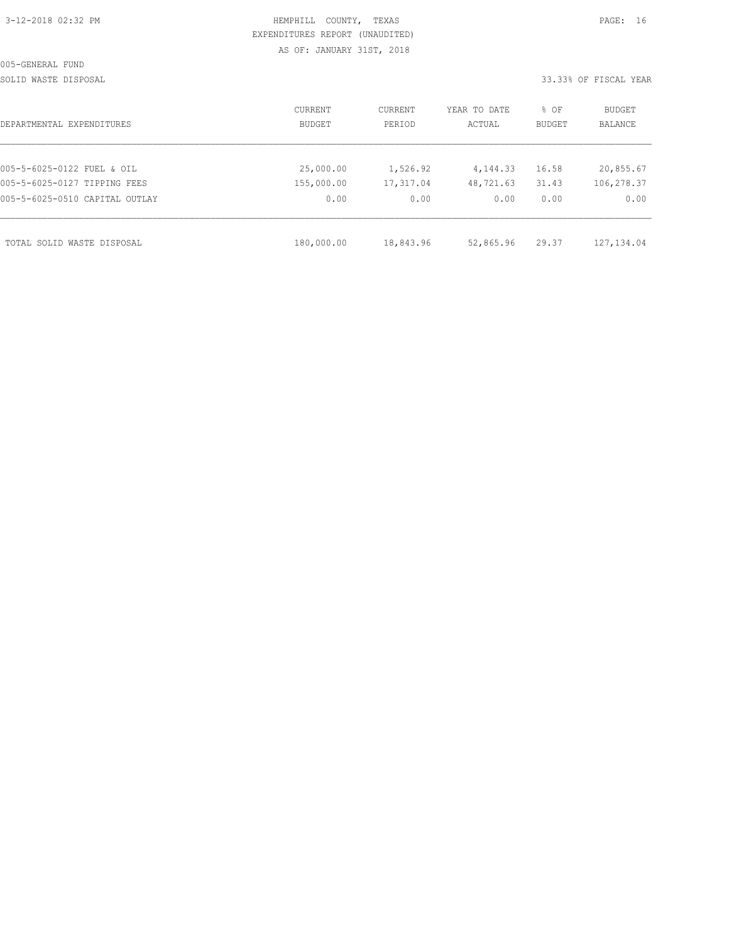| 3-12-2018 02:32 PM |  |
|--------------------|--|

## HEMPHILL COUNTY, TEXAS **PAGE:** 16 EXPENDITURES REPORT (UNAUDITED) AS OF: JANUARY 31ST, 2018

SOLID WASTE DISPOSAL 33.33% OF FISCAL YEAR

| DEPARTMENTAL EXPENDITURES      | CURRENT<br>BUDGET | CURRENT<br>PERIOD | YEAR TO DATE<br>ACTUAL | % OF<br>BUDGET | BUDGET<br><b>BALANCE</b> |
|--------------------------------|-------------------|-------------------|------------------------|----------------|--------------------------|
|                                |                   |                   |                        |                |                          |
| 005-5-6025-0122 FUEL & OIL     | 25,000.00         | 1,526.92          | 4, 144. 33             | 16.58          | 20,855.67                |
| 005-5-6025-0127 TIPPING FEES   | 155,000.00        | 17,317.04         | 48,721.63              | 31.43          | 106,278.37               |
| 005-5-6025-0510 CAPITAL OUTLAY | 0.00              | 0.00              | 0.00                   | 0.00           | 0.00                     |
| TOTAL SOLID WASTE DISPOSAL     | 180,000.00        | 18,843.96         | 52,865.96              | 29.37          | 127, 134.04              |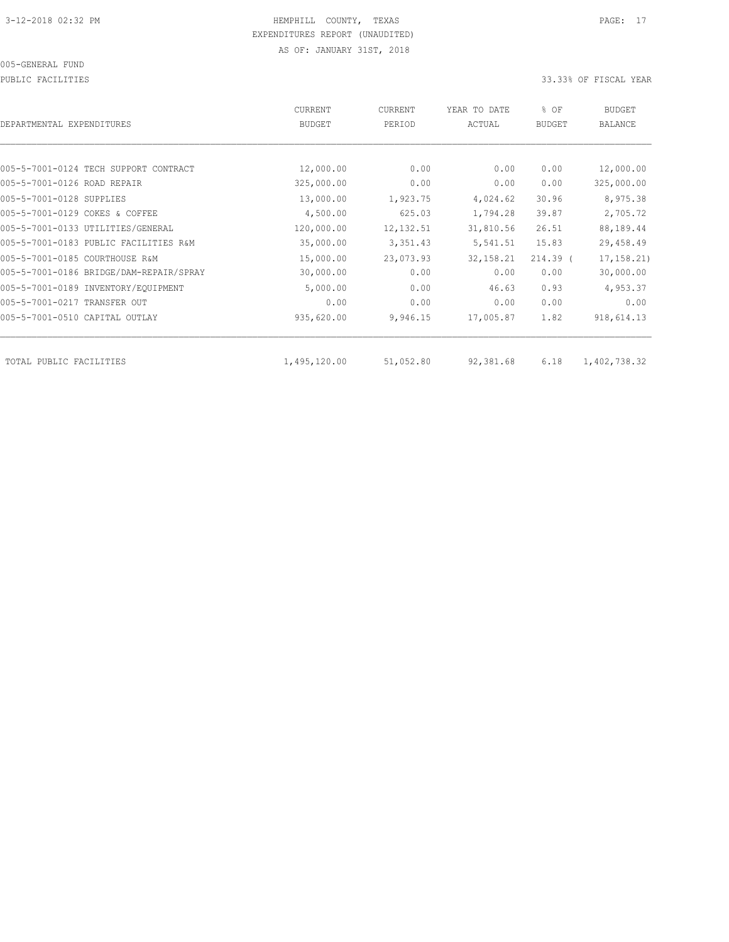PUBLIC FACILITIES 33.33% OF FISCAL YEAR

| DEPARTMENTAL EXPENDITURES               | CURRENT<br><b>BUDGET</b> | CURRENT<br>PERIOD | YEAR TO DATE<br>ACTUAL | % OF<br><b>BUDGET</b> | BUDGET<br><b>BALANCE</b> |
|-----------------------------------------|--------------------------|-------------------|------------------------|-----------------------|--------------------------|
|                                         |                          |                   |                        |                       |                          |
| 005-5-7001-0124 TECH SUPPORT CONTRACT   | 12,000.00                | 0.00              | 0.00                   | 0.00                  | 12,000.00                |
| 005-5-7001-0126 ROAD REPAIR             | 325,000.00               | 0.00              | 0.00                   | 0.00                  | 325,000.00               |
| 005-5-7001-0128 SUPPLIES                | 13,000.00                | 1,923.75          | 4,024.62               | 30.96                 | 8,975.38                 |
| 005-5-7001-0129 COKES & COFFEE          | 4,500.00                 | 625.03            | 1,794.28               | 39.87                 | 2,705.72                 |
| 005-5-7001-0133 UTILITIES/GENERAL       | 120,000.00               | 12, 132.51        | 31,810.56              | 26.51                 | 88,189.44                |
| 005-5-7001-0183 PUBLIC FACILITIES R&M   | 35,000.00                | 3,351.43          | 5,541.51               | 15.83                 | 29,458.49                |
| 005-5-7001-0185 COURTHOUSE R&M          | 15,000.00                | 23,073.93         | 32, 158.21             | $214.39$ (            | 17, 158.21               |
| 005-5-7001-0186 BRIDGE/DAM-REPAIR/SPRAY | 30,000.00                | 0.00              | 0.00                   | 0.00                  | 30,000.00                |
| 005-5-7001-0189 INVENTORY/EQUIPMENT     | 5,000.00                 | 0.00              | 46.63                  | 0.93                  | 4,953.37                 |
| 005-5-7001-0217 TRANSFER OUT            | 0.00                     | 0.00              | 0.00                   | 0.00                  | 0.00                     |
| 005-5-7001-0510 CAPITAL OUTLAY          | 935,620.00               | 9,946.15          | 17,005.87              | 1.82                  | 918,614.13               |
| TOTAL PUBLIC FACILITIES                 | 1,495,120.00             | 51,052.80         | 92,381.68              | 6.18                  | 1,402,738.32             |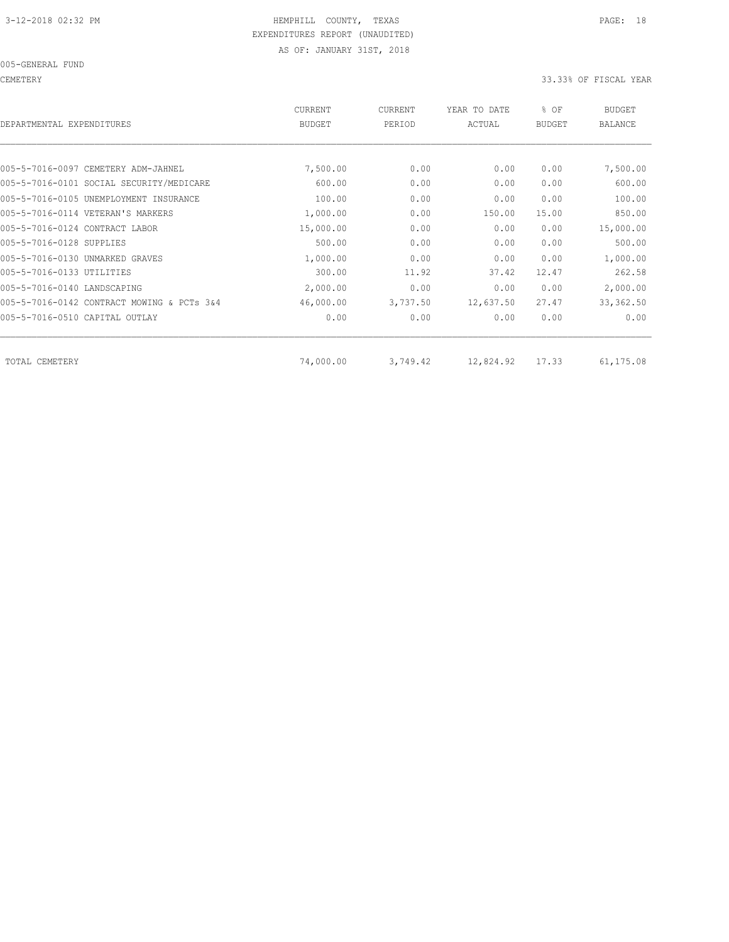CEMETERY 33.33% OF FISCAL YEAR

| DEPARTMENTAL EXPENDITURES                  | <b>CURRENT</b><br><b>BUDGET</b> | CURRENT<br>PERIOD | YEAR TO DATE<br>ACTUAL | % OF<br><b>BUDGET</b> | <b>BUDGET</b><br><b>BALANCE</b> |
|--------------------------------------------|---------------------------------|-------------------|------------------------|-----------------------|---------------------------------|
|                                            |                                 |                   |                        |                       |                                 |
| 005-5-7016-0097 CEMETERY ADM-JAHNEL        | 7,500.00                        | 0.00              | 0.00                   | 0.00                  | 7,500.00                        |
| 005-5-7016-0101 SOCIAL SECURITY/MEDICARE   | 600.00                          | 0.00              | 0.00                   | 0.00                  | 600.00                          |
| 005-5-7016-0105 UNEMPLOYMENT INSURANCE     | 100.00                          | 0.00              | 0.00                   | 0.00                  | 100.00                          |
| 005-5-7016-0114 VETERAN'S MARKERS          | 1,000.00                        | 0.00              | 150.00                 | 15.00                 | 850.00                          |
| 005-5-7016-0124 CONTRACT LABOR             | 15,000.00                       | 0.00              | 0.00                   | 0.00                  | 15,000.00                       |
| 005-5-7016-0128 SUPPLIES                   | 500.00                          | 0.00              | 0.00                   | 0.00                  | 500.00                          |
| 005-5-7016-0130 UNMARKED GRAVES            | 1,000.00                        | 0.00              | 0.00                   | 0.00                  | 1,000.00                        |
| 005-5-7016-0133 UTILITIES                  | 300.00                          | 11.92             | 37.42                  | 12.47                 | 262.58                          |
| 005-5-7016-0140 LANDSCAPING                | 2,000.00                        | 0.00              | 0.00                   | 0.00                  | 2,000.00                        |
| 005-5-7016-0142 CONTRACT MOWING & PCTs 3&4 | 46,000.00                       | 3,737.50          | 12,637.50              | 27.47                 | 33, 362.50                      |
| 005-5-7016-0510 CAPITAL OUTLAY             | 0.00                            | 0.00              | 0.00                   | 0.00                  | 0.00                            |
|                                            |                                 |                   |                        |                       |                                 |
| TOTAL CEMETERY                             | 74,000.00                       | 3,749.42          | 12,824.92              | 17.33                 | 61,175.08                       |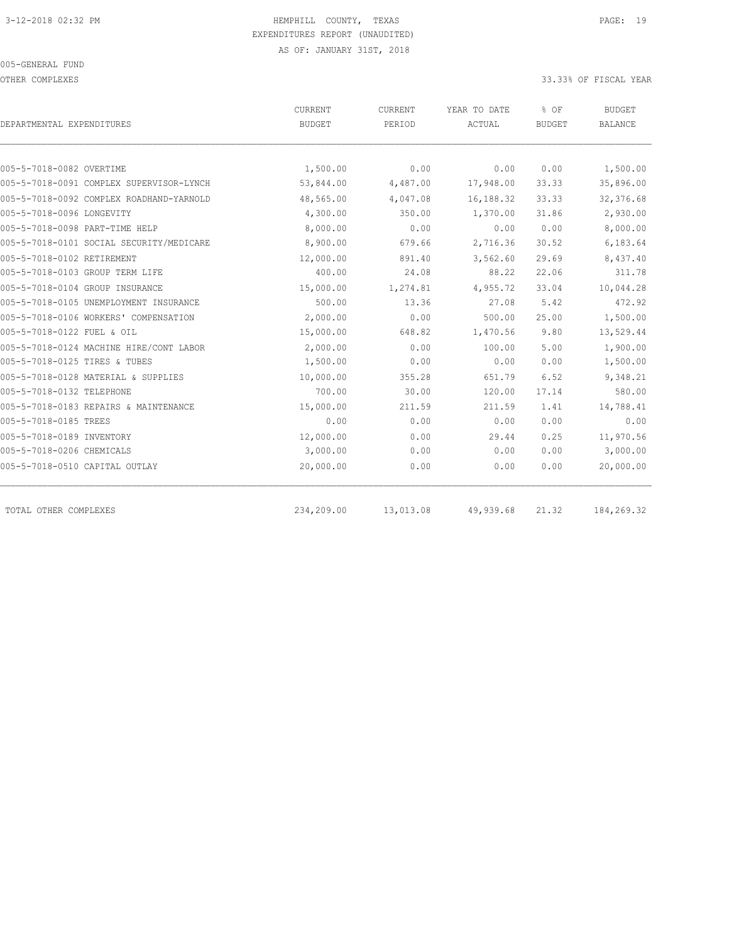OTHER COMPLEXES 33.33% OF FISCAL YEAR

| DEPARTMENTAL EXPENDITURES                | <b>CURRENT</b><br><b>BUDGET</b> | <b>CURRENT</b><br>PERIOD | YEAR TO DATE<br>ACTUAL | % OF<br><b>BUDGET</b> | <b>BUDGET</b><br><b>BALANCE</b> |
|------------------------------------------|---------------------------------|--------------------------|------------------------|-----------------------|---------------------------------|
|                                          |                                 |                          |                        |                       |                                 |
| 005-5-7018-0082 OVERTIME                 | 1,500.00                        | 0.00                     | 0.00                   | 0.00                  | 1,500.00                        |
| 005-5-7018-0091 COMPLEX SUPERVISOR-LYNCH | 53,844.00                       | 4,487.00                 | 17,948.00              | 33.33                 | 35,896.00                       |
| 005-5-7018-0092 COMPLEX ROADHAND-YARNOLD | 48,565.00                       | 4,047.08                 | 16,188.32              | 33.33                 | 32, 376.68                      |
| 005-5-7018-0096 LONGEVITY                | 4,300.00                        | 350.00                   | 1,370.00               | 31.86                 | 2,930.00                        |
| 005-5-7018-0098 PART-TIME HELP           | 8,000.00                        | 0.00                     | 0.00                   | 0.00                  | 8,000.00                        |
| 005-5-7018-0101 SOCIAL SECURITY/MEDICARE | 8,900.00                        | 679.66                   | 2,716.36               | 30.52                 | 6,183.64                        |
| 005-5-7018-0102 RETIREMENT               | 12,000.00                       | 891.40                   | 3,562.60               | 29.69                 | 8,437.40                        |
| 005-5-7018-0103 GROUP TERM LIFE          | 400.00                          | 24.08                    | 88.22                  | 22.06                 | 311.78                          |
| 005-5-7018-0104 GROUP INSURANCE          | 15,000.00                       | 1,274.81                 | 4,955.72               | 33.04                 | 10,044.28                       |
| 005-5-7018-0105 UNEMPLOYMENT INSURANCE   | 500.00                          | 13.36                    | 27.08                  | 5.42                  | 472.92                          |
| 005-5-7018-0106 WORKERS' COMPENSATION    | 2,000.00                        | 0.00                     | 500.00                 | 25.00                 | 1,500.00                        |
| 005-5-7018-0122 FUEL & OIL               | 15,000.00                       | 648.82                   | 1,470.56               | 9.80                  | 13,529.44                       |
| 005-5-7018-0124 MACHINE HIRE/CONT LABOR  | 2,000.00                        | 0.00                     | 100.00                 | 5.00                  | 1,900.00                        |
| 005-5-7018-0125 TIRES & TUBES            | 1,500.00                        | 0.00                     | 0.00                   | 0.00                  | 1,500.00                        |
| 005-5-7018-0128 MATERIAL & SUPPLIES      | 10,000.00                       | 355.28                   | 651.79                 | 6.52                  | 9,348.21                        |
| 005-5-7018-0132 TELEPHONE                | 700.00                          | 30.00                    | 120.00                 | 17.14                 | 580.00                          |
| 005-5-7018-0183 REPAIRS & MAINTENANCE    | 15,000.00                       | 211.59                   | 211.59                 | 1.41                  | 14,788.41                       |
| 005-5-7018-0185 TREES                    | 0.00                            | 0.00                     | 0.00                   | 0.00                  | 0.00                            |
| 005-5-7018-0189 INVENTORY                | 12,000.00                       | 0.00                     | 29.44                  | 0.25                  | 11,970.56                       |
| 005-5-7018-0206 CHEMICALS                | 3,000.00                        | 0.00                     | 0.00                   | 0.00                  | 3,000.00                        |
| 005-5-7018-0510 CAPITAL OUTLAY           | 20,000.00                       | 0.00                     | 0.00                   | 0.00                  | 20,000.00                       |
| TOTAL OTHER COMPLEXES                    | 234,209.00                      | 13,013.08                | 49,939.68              | 21.32                 | 184,269.32                      |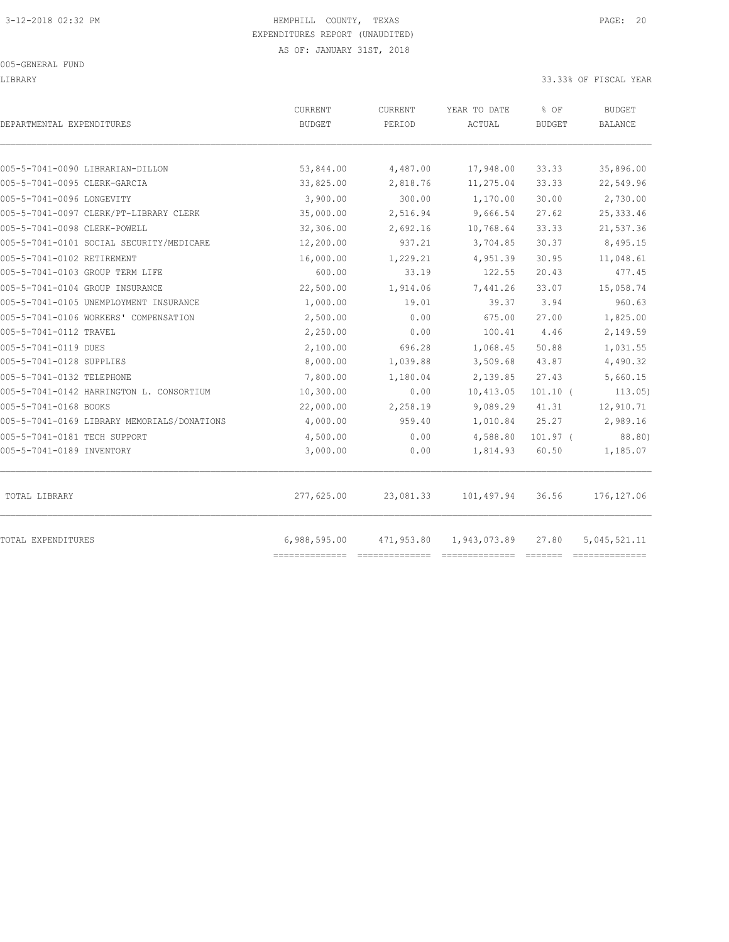LIBRARY 33.33% OF FISCAL YEAR

| DEPARTMENTAL EXPENDITURES                   | CURRENT<br><b>BUDGET</b> | CURRENT<br>PERIOD | YEAR TO DATE<br>ACTUAL | % OF<br><b>BUDGET</b> | <b>BUDGET</b><br><b>BALANCE</b> |
|---------------------------------------------|--------------------------|-------------------|------------------------|-----------------------|---------------------------------|
| 005-5-7041-0090 LIBRARIAN-DILLON            | 53,844.00                | 4,487.00          | 17,948.00              | 33.33                 | 35,896.00                       |
| 005-5-7041-0095 CLERK-GARCIA                | 33,825.00                | 2,818.76          | 11,275.04              | 33.33                 | 22,549.96                       |
| 005-5-7041-0096 LONGEVITY                   | 3,900.00                 | 300.00            | 1,170.00               | 30.00                 | 2,730.00                        |
| 005-5-7041-0097 CLERK/PT-LIBRARY CLERK      | 35,000.00                | 2,516.94          | 9,666.54               | 27.62                 | 25, 333.46                      |
| 005-5-7041-0098 CLERK-POWELL                | 32,306.00                | 2,692.16          | 10,768.64              | 33.33                 | 21,537.36                       |
| 005-5-7041-0101 SOCIAL SECURITY/MEDICARE    | 12,200.00                | 937.21            | 3,704.85               | 30.37                 | 8,495.15                        |
| 005-5-7041-0102 RETIREMENT                  | 16,000.00                | 1,229.21          | 4,951.39               | 30.95                 | 11,048.61                       |
| 005-5-7041-0103 GROUP TERM LIFE             | 600.00                   | 33.19             | 122.55                 | 20.43                 | 477.45                          |
| 005-5-7041-0104 GROUP INSURANCE             | 22,500.00                | 1,914.06          | 7,441.26               | 33.07                 | 15,058.74                       |
| 005-5-7041-0105 UNEMPLOYMENT INSURANCE      | 1,000.00                 | 19.01             | 39.37                  | 3.94                  | 960.63                          |
| 005-5-7041-0106 WORKERS' COMPENSATION       | 2,500.00                 | 0.00              | 675.00                 | 27.00                 | 1,825.00                        |
| 005-5-7041-0112 TRAVEL                      | 2,250.00                 | 0.00              | 100.41                 | 4.46                  | 2,149.59                        |
| 005-5-7041-0119 DUES                        | 2,100.00                 | 696.28            | 1,068.45               | 50.88                 | 1,031.55                        |
| 005-5-7041-0128 SUPPLIES                    | 8,000.00                 | 1,039.88          | 3,509.68               | 43.87                 | 4,490.32                        |
| 005-5-7041-0132 TELEPHONE                   | 7,800.00                 | 1,180.04          | 2,139.85               | 27.43                 | 5,660.15                        |
| 005-5-7041-0142 HARRINGTON L. CONSORTIUM    | 10,300.00                | 0.00              | 10,413.05              | $101.10$ (            | 113.05                          |
| 005-5-7041-0168 BOOKS                       | 22,000.00                | 2,258.19          | 9,089.29               | 41.31                 | 12,910.71                       |
| 005-5-7041-0169 LIBRARY MEMORIALS/DONATIONS | 4,000.00                 | 959.40            | 1,010.84               | 25.27                 | 2,989.16                        |
| 005-5-7041-0181 TECH SUPPORT                | 4,500.00                 | 0.00              | 4,588.80               | $101.97$ (            | 88.80)                          |
| 005-5-7041-0189 INVENTORY                   | 3,000.00                 | 0.00              | 1,814.93               | 60.50                 | 1,185.07                        |
| TOTAL LIBRARY                               | 277,625.00               | 23,081.33         | 101,497.94             | 36.56                 | 176, 127.06                     |
| TOTAL EXPENDITURES                          | 6,988,595.00             | 471,953.80        | 1,943,073.89           | 27.80                 | 5,045,521.11                    |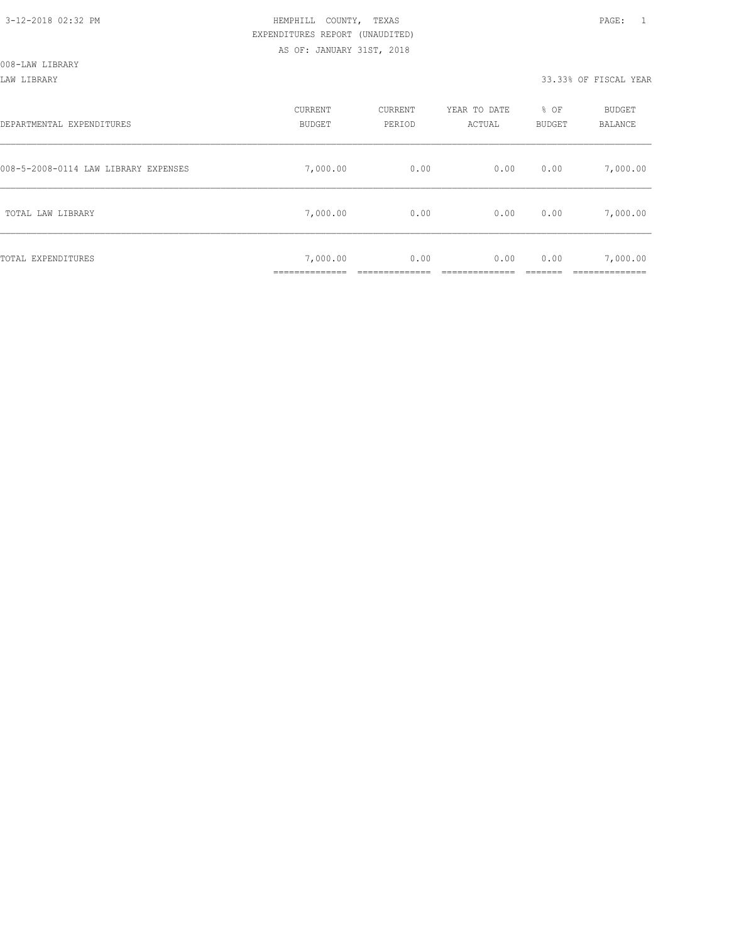#### LAW LIBRARY 33.33% OF FISCAL YEAR

| DEPARTMENTAL EXPENDITURES            | CURRENT<br><b>BUDGET</b> | CURRENT<br>PERIOD | YEAR TO DATE<br>ACTUAL | % OF<br>BUDGET | BUDGET<br>BALANCE      |
|--------------------------------------|--------------------------|-------------------|------------------------|----------------|------------------------|
| 008-5-2008-0114 LAW LIBRARY EXPENSES | 7,000.00                 | 0.00              | 0.00                   | 0.00           | 7,000.00               |
| TOTAL LAW LIBRARY                    | 7,000.00                 | 0.00              | 0.00                   | 0.00           | 7,000.00               |
| TOTAL EXPENDITURES                   | 7,000.00<br>___________  | 0.00              | 0.00                   | 0.00           | 7,000.00<br>__________ |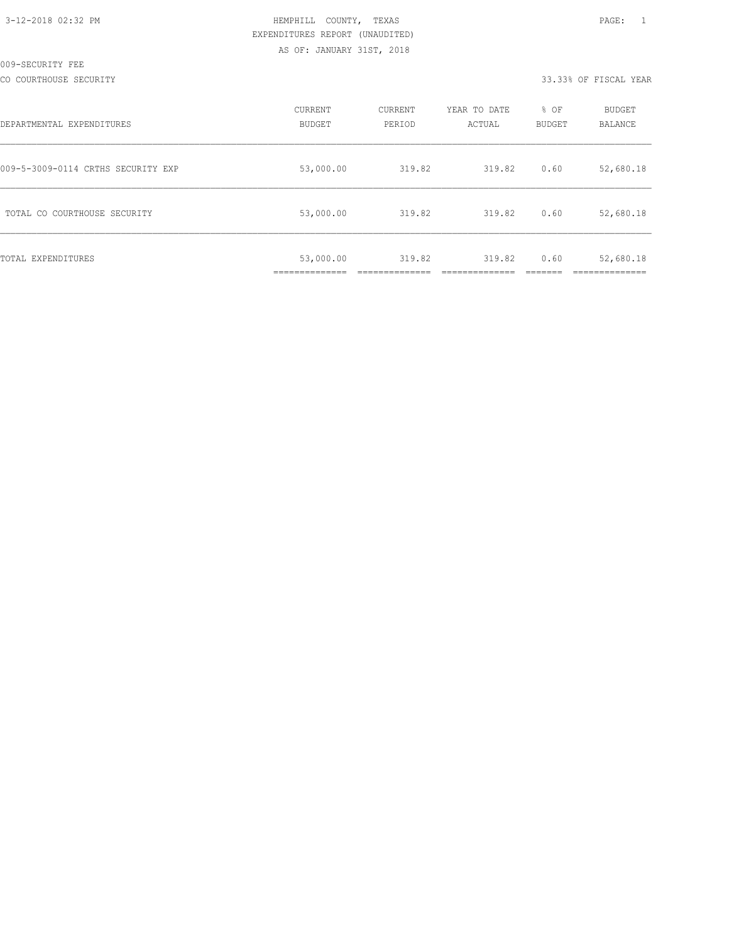CO COURTHOUSE SECURITY 33.33% OF FISCAL YEAR

| DEPARTMENTAL EXPENDITURES          | CURRENT<br><b>BUDGET</b>                     | CURRENT<br>PERIOD | YEAR TO DATE<br>ACTUAL | % OF<br><b>BUDGET</b> | <b>BUDGET</b><br>BALANCE |
|------------------------------------|----------------------------------------------|-------------------|------------------------|-----------------------|--------------------------|
| 009-5-3009-0114 CRTHS SECURITY EXP | 53,000.00                                    | 319.82            | 319.82                 | 0.60                  | 52,680.18                |
| TOTAL CO COURTHOUSE SECURITY       | 53,000.00                                    | 319.82            | 319.82                 | 0.60                  | 52,680.18                |
| TOTAL EXPENDITURES                 | 53,000.00<br>--------------<br>------------- | 319.82            | 319.82                 | 0.60                  | 52,680.18<br>__________  |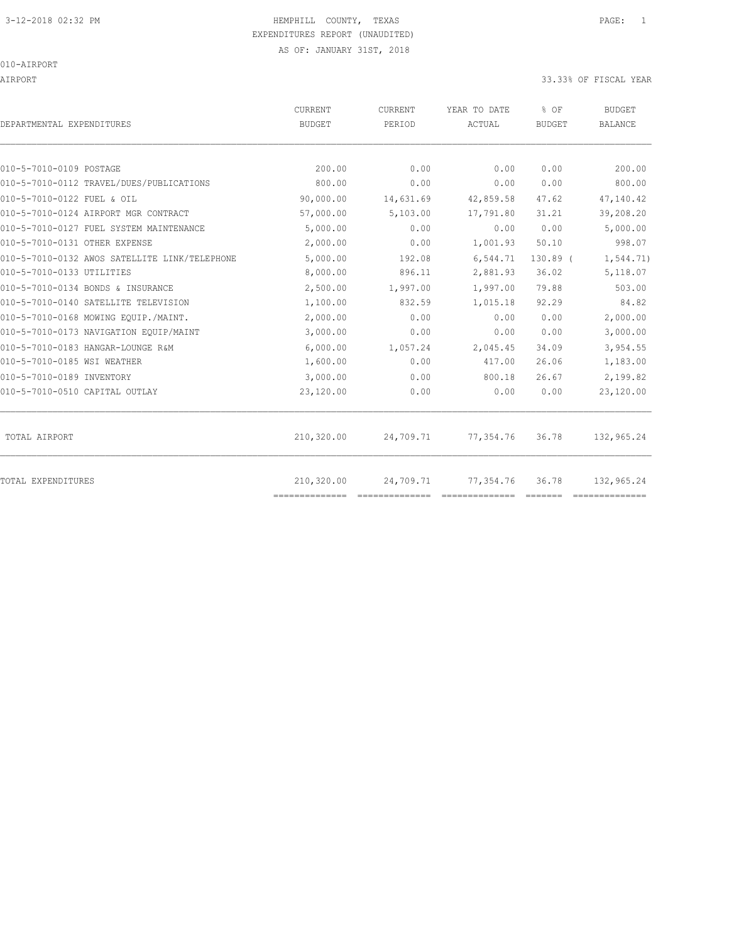## 3-12-2018 02:32 PM HEMPHILL COUNTY, TEXAS PAGE: 1 EXPENDITURES REPORT (UNAUDITED)

010-AIRPORT

AIRPORT 33.33% OF FISCAL YEAR

| DEPARTMENTAL EXPENDITURES                     | <b>CURRENT</b><br><b>BUDGET</b> | CURRENT<br>PERIOD | YEAR TO DATE<br>ACTUAL | % OF<br><b>BUDGET</b> | <b>BUDGET</b><br><b>BALANCE</b> |
|-----------------------------------------------|---------------------------------|-------------------|------------------------|-----------------------|---------------------------------|
|                                               |                                 |                   |                        |                       |                                 |
| 010-5-7010-0109 POSTAGE                       | 200.00                          | 0.00              | 0.00                   | 0.00                  | 200.00                          |
| 010-5-7010-0112 TRAVEL/DUES/PUBLICATIONS      | 800.00                          | 0.00              | 0.00                   | 0.00                  | 800.00                          |
| 010-5-7010-0122 FUEL & OIL                    | 90,000.00                       | 14,631.69         | 42,859.58              | 47.62                 | 47,140.42                       |
| 010-5-7010-0124 AIRPORT MGR CONTRACT          | 57,000.00                       | 5,103.00          | 17,791.80              | 31.21                 | 39,208.20                       |
| 010-5-7010-0127 FUEL SYSTEM MAINTENANCE       | 5,000.00                        | 0.00              | 0.00                   | 0.00                  | 5,000.00                        |
| 010-5-7010-0131 OTHER EXPENSE                 | 2,000.00                        | 0.00              | 1,001.93               | 50.10                 | 998.07                          |
| 010-5-7010-0132 AWOS SATELLITE LINK/TELEPHONE | 5,000.00                        | 192.08            | 6,544.71               | $130.89$ (            | 1,544.71)                       |
| 010-5-7010-0133 UTILITIES                     | 8,000.00                        | 896.11            | 2,881.93               | 36.02                 | 5,118.07                        |
| 010-5-7010-0134 BONDS & INSURANCE             | 2,500.00                        | 1,997.00          | 1,997.00               | 79.88                 | 503.00                          |
| 010-5-7010-0140 SATELLITE TELEVISION          | 1,100.00                        | 832.59            | 1,015.18               | 92.29                 | 84.82                           |
| 010-5-7010-0168 MOWING EOUIP./MAINT.          | 2,000.00                        | 0.00              | 0.00                   | 0.00                  | 2,000.00                        |
| 010-5-7010-0173 NAVIGATION EQUIP/MAINT        | 3,000.00                        | 0.00              | 0.00                   | 0.00                  | 3,000.00                        |
| 010-5-7010-0183 HANGAR-LOUNGE R&M             | 6,000.00                        | 1,057.24          | 2,045.45               | 34.09                 | 3,954.55                        |
| 010-5-7010-0185 WSI WEATHER                   | 1,600.00                        | 0.00              | 417.00                 | 26.06                 | 1,183.00                        |
| 010-5-7010-0189 INVENTORY                     | 3,000.00                        | 0.00              | 800.18                 | 26.67                 | 2,199.82                        |
| 010-5-7010-0510 CAPITAL OUTLAY                | 23,120.00                       | 0.00              | 0.00                   | 0.00                  | 23,120.00                       |
| TOTAL AIRPORT                                 | 210,320.00                      | 24,709.71         | 77,354.76              | 36.78                 | 132,965.24                      |
| TOTAL EXPENDITURES                            | 210,320.00                      | 24,709.71         | 77,354.76              | 36.78                 | 132,965.24                      |
|                                               | ==============                  |                   |                        |                       |                                 |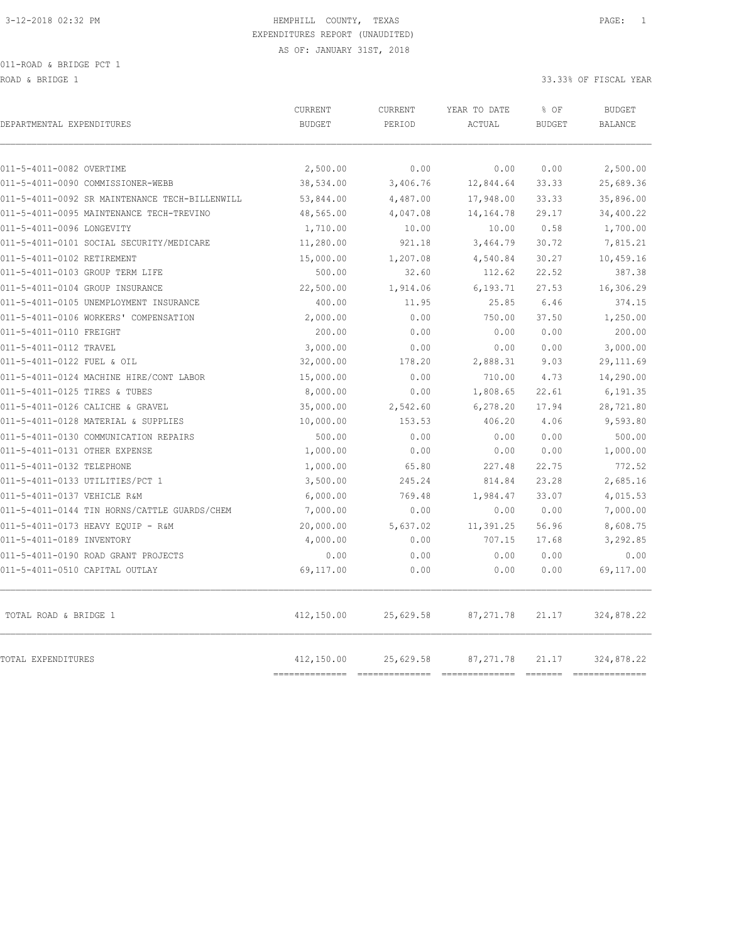ROAD & BRIDGE 1 33.33% OF FISCAL YEAR (1999) AND ROAD & SOLUTION OF SALES AND ROAD & SOLUTION OF SOLUTION OF SOLUTION OF SOLUTION OF SOLUTION OF SOLUTION OF SOLUTION OF SOLUTION OF SOLUTION OF SOLUTION OF SOLUTION OF SOLUT

| DEPARTMENTAL EXPENDITURES                      | <b>CURRENT</b><br><b>BUDGET</b> | CURRENT<br>PERIOD | YEAR TO DATE<br>ACTUAL | % OF<br><b>BUDGET</b> | <b>BUDGET</b><br><b>BALANCE</b> |
|------------------------------------------------|---------------------------------|-------------------|------------------------|-----------------------|---------------------------------|
| 011-5-4011-0082 OVERTIME                       | 2,500.00                        | 0.00              | 0.00                   | 0.00                  | 2,500.00                        |
| 011-5-4011-0090 COMMISSIONER-WEBB              | 38,534.00                       | 3,406.76          | 12,844.64              | 33.33                 | 25,689.36                       |
| 011-5-4011-0092 SR MAINTENANCE TECH-BILLENWILL | 53,844.00                       | 4,487.00          | 17,948.00              | 33.33                 | 35,896.00                       |
| 011-5-4011-0095 MAINTENANCE TECH-TREVINO       | 48,565.00                       | 4,047.08          | 14, 164. 78            | 29.17                 | 34,400.22                       |
| 011-5-4011-0096 LONGEVITY                      | 1,710.00                        | 10.00             | 10.00                  | 0.58                  | 1,700.00                        |
| 011-5-4011-0101 SOCIAL SECURITY/MEDICARE       | 11,280.00                       | 921.18            | 3,464.79               | 30.72                 | 7,815.21                        |
| 011-5-4011-0102 RETIREMENT                     | 15,000.00                       | 1,207.08          | 4,540.84               | 30.27                 | 10,459.16                       |
| 011-5-4011-0103 GROUP TERM LIFE                | 500.00                          | 32.60             | 112.62                 | 22.52                 | 387.38                          |
| 011-5-4011-0104 GROUP INSURANCE                | 22,500.00                       | 1,914.06          | 6,193.71               | 27.53                 | 16,306.29                       |
| 011-5-4011-0105 UNEMPLOYMENT INSURANCE         | 400.00                          | 11.95             | 25.85                  | 6.46                  | 374.15                          |
| 011-5-4011-0106 WORKERS' COMPENSATION          | 2,000.00                        | 0.00              | 750.00                 | 37.50                 | 1,250.00                        |
| 011-5-4011-0110 FREIGHT                        | 200.00                          | 0.00              | 0.00                   | 0.00                  | 200.00                          |
| 011-5-4011-0112 TRAVEL                         | 3,000.00                        | 0.00              | 0.00                   | 0.00                  | 3,000.00                        |
| 011-5-4011-0122 FUEL & OIL                     | 32,000.00                       | 178.20            | 2,888.31               | 9.03                  | 29, 111.69                      |
| 011-5-4011-0124 MACHINE HIRE/CONT LABOR        | 15,000.00                       | 0.00              | 710.00                 | 4.73                  | 14,290.00                       |
| 011-5-4011-0125 TIRES & TUBES                  | 8,000.00                        | 0.00              | 1,808.65               | 22.61                 | 6,191.35                        |
| 011-5-4011-0126 CALICHE & GRAVEL               | 35,000.00                       | 2,542.60          | 6,278.20               | 17.94                 | 28,721.80                       |
| 011-5-4011-0128 MATERIAL & SUPPLIES            | 10,000.00                       | 153.53            | 406.20                 | 4.06                  | 9,593.80                        |
| 011-5-4011-0130 COMMUNICATION REPAIRS          | 500.00                          | 0.00              | 0.00                   | 0.00                  | 500.00                          |
| 011-5-4011-0131 OTHER EXPENSE                  | 1,000.00                        | 0.00              | 0.00                   | 0.00                  | 1,000.00                        |
| 011-5-4011-0132 TELEPHONE                      | 1,000.00                        | 65.80             | 227.48                 | 22.75                 | 772.52                          |
| 011-5-4011-0133 UTILITIES/PCT 1                | 3,500.00                        | 245.24            | 814.84                 | 23.28                 | 2,685.16                        |
| 011-5-4011-0137 VEHICLE R&M                    | 6,000.00                        | 769.48            | 1,984.47               | 33.07                 | 4,015.53                        |
| 011-5-4011-0144 TIN HORNS/CATTLE GUARDS/CHEM   | 7,000.00                        | 0.00              | 0.00                   | 0.00                  | 7,000.00                        |
| 011-5-4011-0173 HEAVY EQUIP - R&M              | 20,000.00                       | 5,637.02          | 11,391.25              | 56.96                 | 8,608.75                        |
| 011-5-4011-0189 INVENTORY                      | 4,000.00                        | 0.00              | 707.15                 | 17.68                 | 3,292.85                        |
| 011-5-4011-0190 ROAD GRANT PROJECTS            | 0.00                            | 0.00              | 0.00                   | 0.00                  | 0.00                            |
| 011-5-4011-0510 CAPITAL OUTLAY                 | 69,117.00                       | 0.00              | 0.00                   | 0.00                  | 69,117.00                       |
| TOTAL ROAD & BRIDGE 1                          | 412,150.00                      | 25,629.58         | 87, 271.78             | 21.17                 | 324,878.22                      |
| TOTAL EXPENDITURES                             | 412,150.00                      | 25,629.58         | 87, 271.78             | 21.17                 | 324,878.22                      |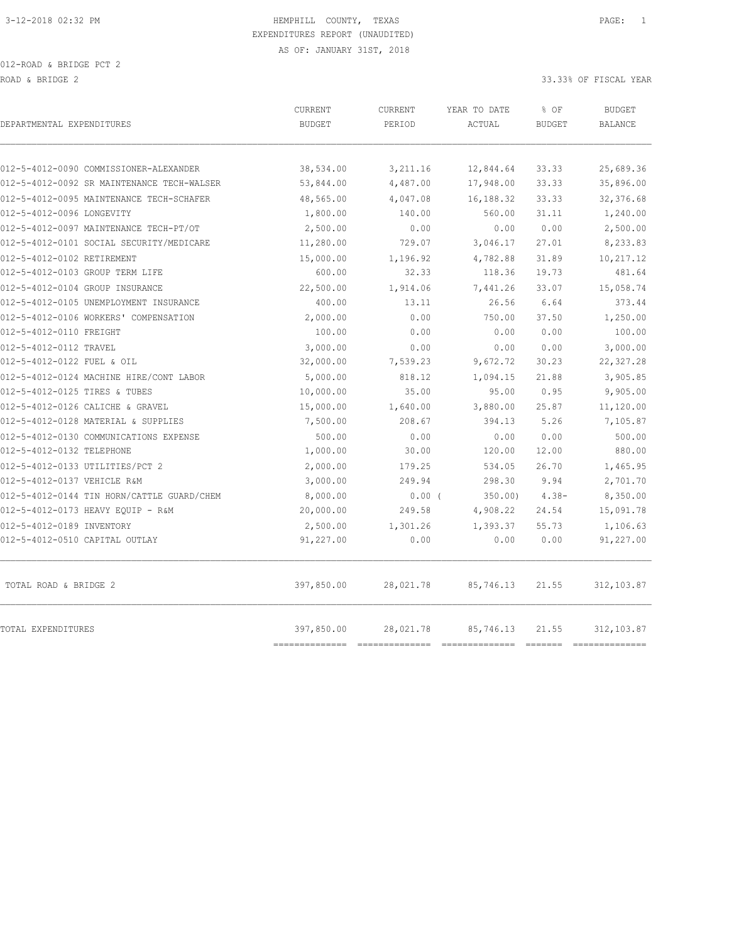|                                            | <b>CURRENT</b>               | CURRENT   | YEAR TO DATE | % OF          | <b>BUDGET</b>  |
|--------------------------------------------|------------------------------|-----------|--------------|---------------|----------------|
| DEPARTMENTAL EXPENDITURES                  | <b>BUDGET</b>                | PERIOD    | ACTUAL       | <b>BUDGET</b> | <b>BALANCE</b> |
|                                            |                              |           |              |               |                |
| 012-5-4012-0090 COMMISSIONER-ALEXANDER     | 38,534.00                    | 3,211.16  | 12,844.64    | 33.33         | 25,689.36      |
| 012-5-4012-0092 SR MAINTENANCE TECH-WALSER | 53,844.00                    | 4,487.00  | 17,948.00    | 33.33         | 35,896.00      |
| 012-5-4012-0095 MAINTENANCE TECH-SCHAFER   | 48,565.00                    | 4,047.08  | 16,188.32    | 33.33         | 32,376.68      |
| 012-5-4012-0096 LONGEVITY                  | 1,800.00                     | 140.00    | 560.00       | 31.11         | 1,240.00       |
| 012-5-4012-0097 MAINTENANCE TECH-PT/OT     | 2,500.00                     | 0.00      | 0.00         | 0.00          | 2,500.00       |
| 012-5-4012-0101 SOCIAL SECURITY/MEDICARE   | 11,280.00                    | 729.07    | 3,046.17     | 27.01         | 8,233.83       |
| 012-5-4012-0102 RETIREMENT                 | 15,000.00                    | 1,196.92  | 4,782.88     | 31.89         | 10,217.12      |
| 012-5-4012-0103 GROUP TERM LIFE            | 600.00                       | 32.33     | 118.36       | 19.73         | 481.64         |
| 012-5-4012-0104 GROUP INSURANCE            | 22,500.00                    | 1,914.06  | 7,441.26     | 33.07         | 15,058.74      |
| 012-5-4012-0105 UNEMPLOYMENT INSURANCE     | 400.00                       | 13.11     | 26.56        | 6.64          | 373.44         |
| 012-5-4012-0106 WORKERS' COMPENSATION      | 2,000.00                     | 0.00      | 750.00       | 37.50         | 1,250.00       |
| 012-5-4012-0110 FREIGHT                    | 100.00                       | 0.00      | 0.00         | 0.00          | 100.00         |
| 012-5-4012-0112 TRAVEL                     | 3,000.00                     | 0.00      | 0.00         | 0.00          | 3,000.00       |
| 012-5-4012-0122 FUEL & OIL                 | 32,000.00                    | 7,539.23  | 9,672.72     | 30.23         | 22, 327.28     |
| 012-5-4012-0124 MACHINE HIRE/CONT LABOR    | 5,000.00                     | 818.12    | 1,094.15     | 21.88         | 3,905.85       |
| 012-5-4012-0125 TIRES & TUBES              | 10,000.00                    | 35.00     | 95.00        | 0.95          | 9,905.00       |
| 012-5-4012-0126 CALICHE & GRAVEL           | 15,000.00                    | 1,640.00  | 3,880.00     | 25.87         | 11,120.00      |
| 012-5-4012-0128 MATERIAL & SUPPLIES        | 7,500.00                     | 208.67    | 394.13       | 5.26          | 7,105.87       |
| 012-5-4012-0130 COMMUNICATIONS EXPENSE     | 500.00                       | 0.00      | 0.00         | 0.00          | 500.00         |
| 012-5-4012-0132 TELEPHONE                  | 1,000.00                     | 30.00     | 120.00       | 12.00         | 880.00         |
| 012-5-4012-0133 UTILITIES/PCT 2            | 2,000.00                     | 179.25    | 534.05       | 26.70         | 1,465.95       |
| 012-5-4012-0137 VEHICLE R&M                | 3,000.00                     | 249.94    | 298.30       | 9.94          | 2,701.70       |
| 012-5-4012-0144 TIN HORN/CATTLE GUARD/CHEM | 8,000.00                     | $0.00$ (  | 350.00       | $4.38-$       | 8,350.00       |
| 012-5-4012-0173 HEAVY EQUIP - R&M          | 20,000.00                    | 249.58    | 4,908.22     | 24.54         | 15,091.78      |
| 012-5-4012-0189 INVENTORY                  | 2,500.00                     | 1,301.26  | 1,393.37     | 55.73         | 1,106.63       |
| 012-5-4012-0510 CAPITAL OUTLAY             | 91,227.00                    | 0.00      | 0.00         | 0.00          | 91,227.00      |
| TOTAL ROAD & BRIDGE 2                      | 397,850.00                   | 28,021.78 | 85,746.13    | 21.55         | 312, 103.87    |
| TOTAL EXPENDITURES                         | 397,850.00<br>-------------- | 28,021.78 | 85,746.13    | 21.55         | 312, 103.87    |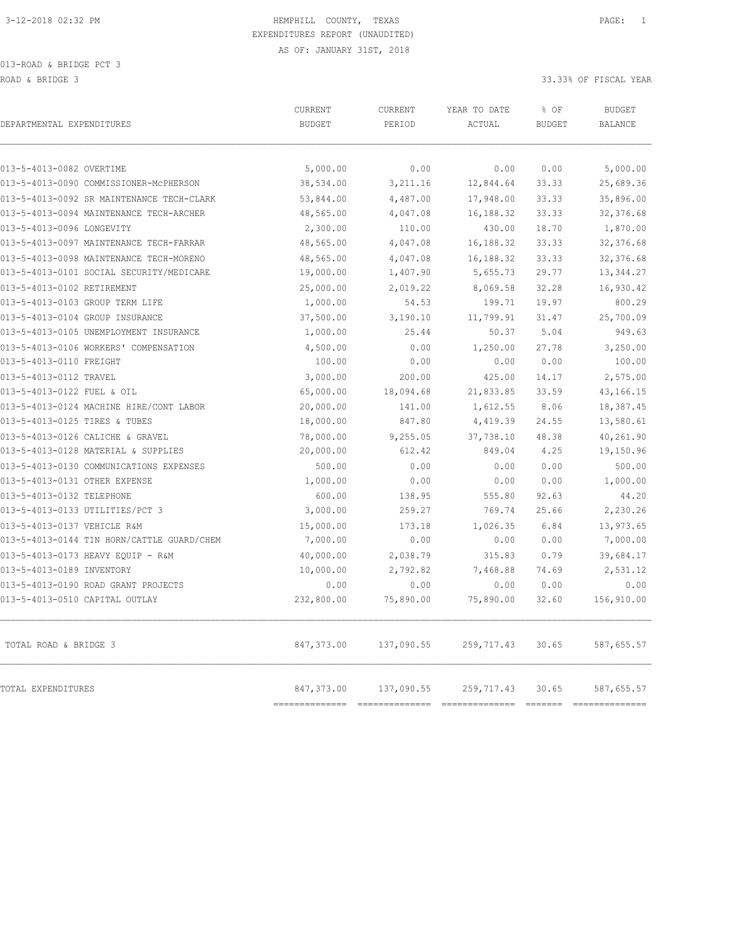| DEPARTMENTAL EXPENDITURES                  | CURRENT<br><b>BUDGET</b>     | CURRENT<br>PERIOD                            | YEAR TO DATE<br>ACTUAL | % OF<br><b>BUDGET</b>                                                                                                                                                                                                                                                                                                                                                                                                                                                                           | <b>BUDGET</b><br><b>BALANCE</b> |
|--------------------------------------------|------------------------------|----------------------------------------------|------------------------|-------------------------------------------------------------------------------------------------------------------------------------------------------------------------------------------------------------------------------------------------------------------------------------------------------------------------------------------------------------------------------------------------------------------------------------------------------------------------------------------------|---------------------------------|
| 013-5-4013-0082 OVERTIME                   | 5,000.00                     | 0.00                                         | 0.00                   | 0.00                                                                                                                                                                                                                                                                                                                                                                                                                                                                                            | 5,000.00                        |
| 013-5-4013-0090 COMMISSIONER-MCPHERSON     | 38,534.00                    | 3,211.16                                     | 12,844.64              | 33.33                                                                                                                                                                                                                                                                                                                                                                                                                                                                                           | 25,689.36                       |
| 013-5-4013-0092 SR MAINTENANCE TECH-CLARK  | 53,844.00                    | 4,487.00                                     | 17,948.00              | 33.33                                                                                                                                                                                                                                                                                                                                                                                                                                                                                           | 35,896.00                       |
| 013-5-4013-0094 MAINTENANCE TECH-ARCHER    | 48,565.00                    | 4,047.08                                     | 16,188.32              | 33.33                                                                                                                                                                                                                                                                                                                                                                                                                                                                                           | 32,376.68                       |
| 013-5-4013-0096 LONGEVITY                  | 2,300.00                     | 110.00                                       | 430.00                 | 18.70                                                                                                                                                                                                                                                                                                                                                                                                                                                                                           | 1,870.00                        |
| 013-5-4013-0097 MAINTENANCE TECH-FARRAR    | 48,565.00                    | 4,047.08                                     | 16,188.32              | 33.33                                                                                                                                                                                                                                                                                                                                                                                                                                                                                           | 32,376.68                       |
| 013-5-4013-0098 MAINTENANCE TECH-MORENO    | 48,565.00                    | 4,047.08                                     | 16,188.32              | 33.33                                                                                                                                                                                                                                                                                                                                                                                                                                                                                           | 32, 376.68                      |
| 013-5-4013-0101 SOCIAL SECURITY/MEDICARE   | 19,000.00                    | 1,407.90                                     | 5,655.73               | 29.77                                                                                                                                                                                                                                                                                                                                                                                                                                                                                           | 13, 344.27                      |
| 013-5-4013-0102 RETIREMENT                 | 25,000.00                    | 2,019.22                                     | 8,069.58               | 32.28                                                                                                                                                                                                                                                                                                                                                                                                                                                                                           | 16,930.42                       |
| 013-5-4013-0103 GROUP TERM LIFE            | 1,000.00                     | 54.53                                        | 199.71                 | 19.97                                                                                                                                                                                                                                                                                                                                                                                                                                                                                           | 800.29                          |
| 013-5-4013-0104 GROUP INSURANCE            | 37,500.00                    | 3,190.10                                     | 11,799.91              | 31.47                                                                                                                                                                                                                                                                                                                                                                                                                                                                                           | 25,700.09                       |
| 013-5-4013-0105 UNEMPLOYMENT INSURANCE     | 1,000.00                     | 25.44                                        | 50.37                  | 5.04                                                                                                                                                                                                                                                                                                                                                                                                                                                                                            | 949.63                          |
| 013-5-4013-0106 WORKERS' COMPENSATION      | 4,500.00                     | 0.00                                         | 1,250.00               | 27.78                                                                                                                                                                                                                                                                                                                                                                                                                                                                                           | 3,250.00                        |
| 013-5-4013-0110 FREIGHT                    | 100.00                       | 0.00                                         | 0.00                   | 0.00                                                                                                                                                                                                                                                                                                                                                                                                                                                                                            | 100.00                          |
| 013-5-4013-0112 TRAVEL                     | 3,000.00                     | 200.00                                       | 425.00                 | 14.17                                                                                                                                                                                                                                                                                                                                                                                                                                                                                           | 2,575.00                        |
| 013-5-4013-0122 FUEL & OIL                 | 65,000.00                    | 18,094.68                                    | 21,833.85              | 33.59                                                                                                                                                                                                                                                                                                                                                                                                                                                                                           | 43,166.15                       |
| 013-5-4013-0124 MACHINE HIRE/CONT LABOR    | 20,000.00                    | 141.00                                       | 1,612.55               | 8.06                                                                                                                                                                                                                                                                                                                                                                                                                                                                                            | 18,387.45                       |
| 013-5-4013-0125 TIRES & TUBES              | 18,000.00                    | 847.80                                       | 4,419.39               | 24.55                                                                                                                                                                                                                                                                                                                                                                                                                                                                                           | 13,580.61                       |
| 013-5-4013-0126 CALICHE & GRAVEL           | 78,000.00                    | 9,255.05                                     | 37,738.10              | 48.38                                                                                                                                                                                                                                                                                                                                                                                                                                                                                           | 40,261.90                       |
| 013-5-4013-0128 MATERIAL & SUPPLIES        | 20,000.00                    | 612.42                                       | 849.04                 | 4.25                                                                                                                                                                                                                                                                                                                                                                                                                                                                                            | 19,150.96                       |
| 013-5-4013-0130 COMMUNICATIONS EXPENSES    | 500.00                       | 0.00                                         | 0.00                   | 0.00                                                                                                                                                                                                                                                                                                                                                                                                                                                                                            | 500.00                          |
| 013-5-4013-0131 OTHER EXPENSE              | 1,000.00                     | 0.00                                         | 0.00                   | 0.00                                                                                                                                                                                                                                                                                                                                                                                                                                                                                            | 1,000.00                        |
| 013-5-4013-0132 TELEPHONE                  | 600.00                       | 138.95                                       | 555.80                 | 92.63                                                                                                                                                                                                                                                                                                                                                                                                                                                                                           | 44.20                           |
| 013-5-4013-0133 UTILITIES/PCT 3            | 3,000.00                     | 259.27                                       | 769.74                 | 25.66                                                                                                                                                                                                                                                                                                                                                                                                                                                                                           | 2,230.26                        |
| 013-5-4013-0137 VEHICLE R&M                | 15,000.00                    | 173.18                                       | 1,026.35               | 6.84                                                                                                                                                                                                                                                                                                                                                                                                                                                                                            | 13,973.65                       |
| 013-5-4013-0144 TIN HORN/CATTLE GUARD/CHEM | 7,000.00                     | 0.00                                         | 0.00                   | 0.00                                                                                                                                                                                                                                                                                                                                                                                                                                                                                            | 7,000.00                        |
| 013-5-4013-0173 HEAVY EQUIP - R&M          | 40,000.00                    | 2,038.79                                     | 315.83                 | 0.79                                                                                                                                                                                                                                                                                                                                                                                                                                                                                            | 39,684.17                       |
| 013-5-4013-0189 INVENTORY                  | 10,000.00                    | 2,792.82                                     | 7,468.88               | 74.69                                                                                                                                                                                                                                                                                                                                                                                                                                                                                           | 2,531.12                        |
| 013-5-4013-0190 ROAD GRANT PROJECTS        | 0.00                         | 0.00                                         | 0.00                   | 0.00                                                                                                                                                                                                                                                                                                                                                                                                                                                                                            | 0.00                            |
| 013-5-4013-0510 CAPITAL OUTLAY             | 232,800.00                   | 75,890.00                                    | 75,890.00              | 32.60                                                                                                                                                                                                                                                                                                                                                                                                                                                                                           | 156,910.00                      |
| TOTAL ROAD & BRIDGE 3                      | 847,373.00                   | 137,090.55                                   | 259,717.43             | 30.65                                                                                                                                                                                                                                                                                                                                                                                                                                                                                           | 587,655.57                      |
| TOTAL EXPENDITURES                         | 847,373.00<br>============== | 137,090.55<br>============================== | 259,717.43             | 30.65<br>$\begin{array}{cccccccccc} \multicolumn{2}{c}{} & \multicolumn{2}{c}{} & \multicolumn{2}{c}{} & \multicolumn{2}{c}{} & \multicolumn{2}{c}{} & \multicolumn{2}{c}{} & \multicolumn{2}{c}{} & \multicolumn{2}{c}{} & \multicolumn{2}{c}{} & \multicolumn{2}{c}{} & \multicolumn{2}{c}{} & \multicolumn{2}{c}{} & \multicolumn{2}{c}{} & \multicolumn{2}{c}{} & \multicolumn{2}{c}{} & \multicolumn{2}{c}{} & \multicolumn{2}{c}{} & \multicolumn{2}{c}{} & \multicolumn{2}{c}{} & \mult$ | 587,655.57<br>--------------    |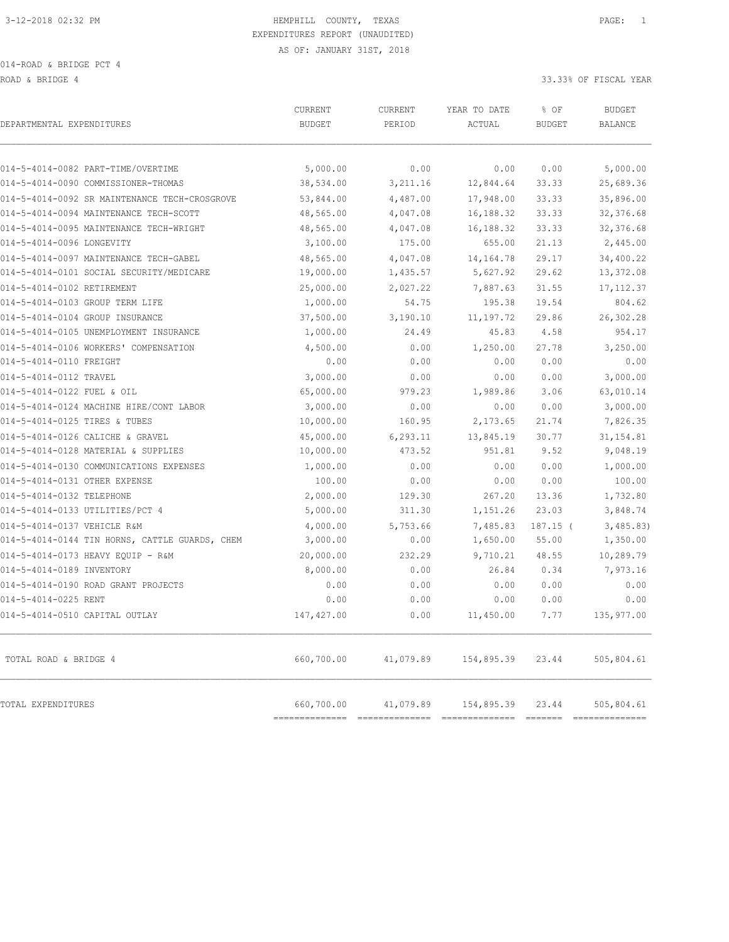ROAD & BRIDGE 4 33.33% OF FISCAL YEAR

|             | 0.00                                  | 0.00        | 0.00       | 5,000.00                       |
|-------------|---------------------------------------|-------------|------------|--------------------------------|
| 38,534.00   | 3,211.16                              | 12,844.64   | 33.33      | 25,689.36                      |
| 53,844.00   | 4,487.00                              | 17,948.00   | 33.33      | 35,896.00                      |
| 48,565.00   | 4,047.08                              | 16,188.32   | 33.33      | 32,376.68                      |
| 48,565.00   | 4,047.08                              | 16,188.32   | 33.33      | 32,376.68                      |
| 3,100.00    | 175.00                                | 655.00      | 21.13      | 2,445.00                       |
| 48,565.00   | 4,047.08                              | 14, 164. 78 | 29.17      | 34,400.22                      |
| 19,000.00   | 1,435.57                              | 5,627.92    | 29.62      | 13,372.08                      |
| 25,000.00   | 2,027.22                              | 7,887.63    | 31.55      | 17, 112.37                     |
| 1,000.00    | 54.75                                 | 195.38      | 19.54      | 804.62                         |
| 37,500.00   | 3,190.10                              | 11, 197.72  | 29.86      | 26,302.28                      |
| 1,000.00    | 24.49                                 | 45.83       | 4.58       | 954.17                         |
| 4,500.00    | 0.00                                  | 1,250.00    | 27.78      | 3,250.00                       |
| 0.00        | 0.00                                  | 0.00        | 0.00       | 0.00                           |
| 3,000.00    | 0.00                                  | 0.00        | 0.00       | 3,000.00                       |
| 65,000.00   | 979.23                                | 1,989.86    | 3.06       | 63,010.14                      |
| 3,000.00    | 0.00                                  | 0.00        | 0.00       | 3,000.00                       |
| 10,000.00   | 160.95                                | 2,173.65    | 21.74      | 7,826.35                       |
| 45,000.00   | 6, 293.11                             | 13,845.19   | 30.77      | 31, 154.81                     |
| 10,000.00   | 473.52                                | 951.81      | 9.52       | 9,048.19                       |
| 1,000.00    | 0.00                                  | 0.00        | 0.00       | 1,000.00                       |
| 100.00      | 0.00                                  | 0.00        | 0.00       | 100.00                         |
| 2,000.00    | 129.30                                | 267.20      | 13.36      | 1,732.80                       |
| 5,000.00    | 311.30                                | 1,151.26    | 23.03      | 3,848.74                       |
| 4,000.00    | 5,753.66                              | 7,485.83    | $187.15$ ( | 3,485.83                       |
| 3,000.00    | 0.00                                  | 1,650.00    | 55.00      | 1,350.00                       |
| 20,000.00   | 232.29                                | 9,710.21    | 48.55      | 10,289.79                      |
| 8,000.00    | 0.00                                  | 26.84       | 0.34       | 7,973.16                       |
| 0.00        | 0.00                                  | 0.00        | 0.00       | 0.00                           |
| 0.00        | 0.00                                  | 0.00        | 0.00       | 0.00                           |
| 147, 427.00 | 0.00                                  | 11,450.00   | 7.77       | 135,977.00                     |
| 660,700.00  | 41,079.89                             | 154,895.39  | 23.44      | 505,804.61                     |
| 660,700.00  | 41,079.89                             | 154,895.39  | 23.44      | 505,804.61<br>________________ |
|             | 5,000.00<br>$=$ = = = = = = = = = = = |             |            |                                |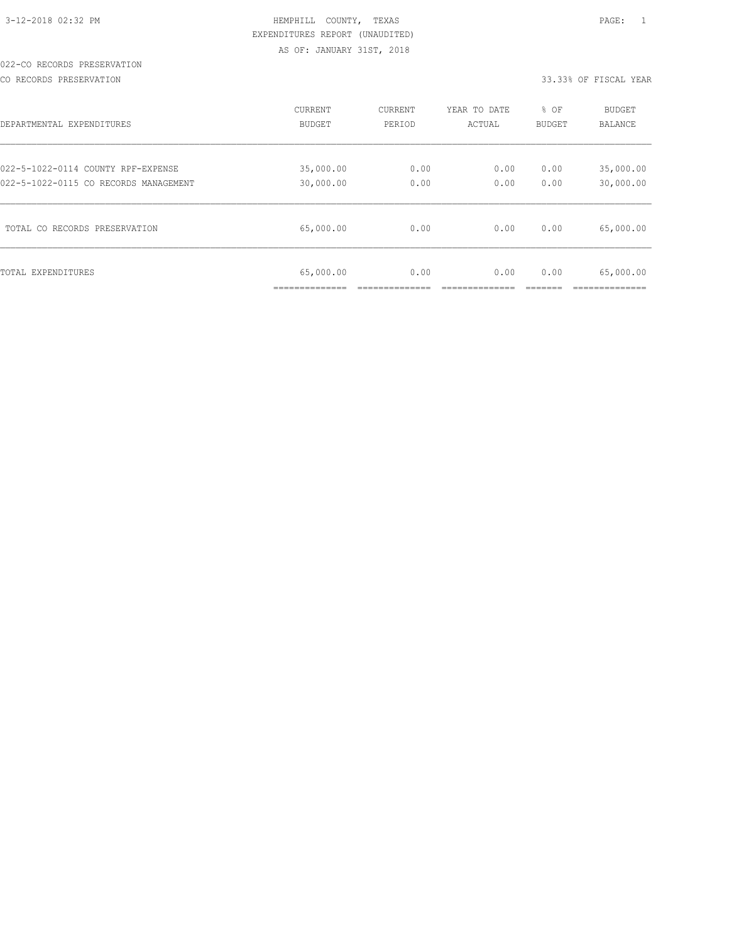#### 022-CO RECORDS PRESERVATION

CO RECORDS PRESERVATION 33.33% OF FISCAL YEAR

| DEPARTMENTAL EXPENDITURES             | <b>CURRENT</b>              | CURRENT | YEAR TO DATE | % OF          | <b>BUDGET</b>               |
|---------------------------------------|-----------------------------|---------|--------------|---------------|-----------------------------|
|                                       | <b>BUDGET</b>               | PERIOD  | ACTUAL       | <b>BUDGET</b> | <b>BALANCE</b>              |
| 022-5-1022-0114 COUNTY RPF-EXPENSE    | 35,000.00                   | 0.00    | 0.00         | 0.00          | 35,000.00                   |
| 022-5-1022-0115 CO RECORDS MANAGEMENT | 30,000.00                   | 0.00    | 0.00         | 0.00          | 30,000.00                   |
| TOTAL CO RECORDS PRESERVATION         | 65,000.00                   | 0.00    | 0.00         | 0.00          | 65,000.00                   |
| TOTAL EXPENDITURES                    | 65,000.00<br>______________ | 0.00    | 0.00         | 0.00          | 65,000.00<br>-------------- |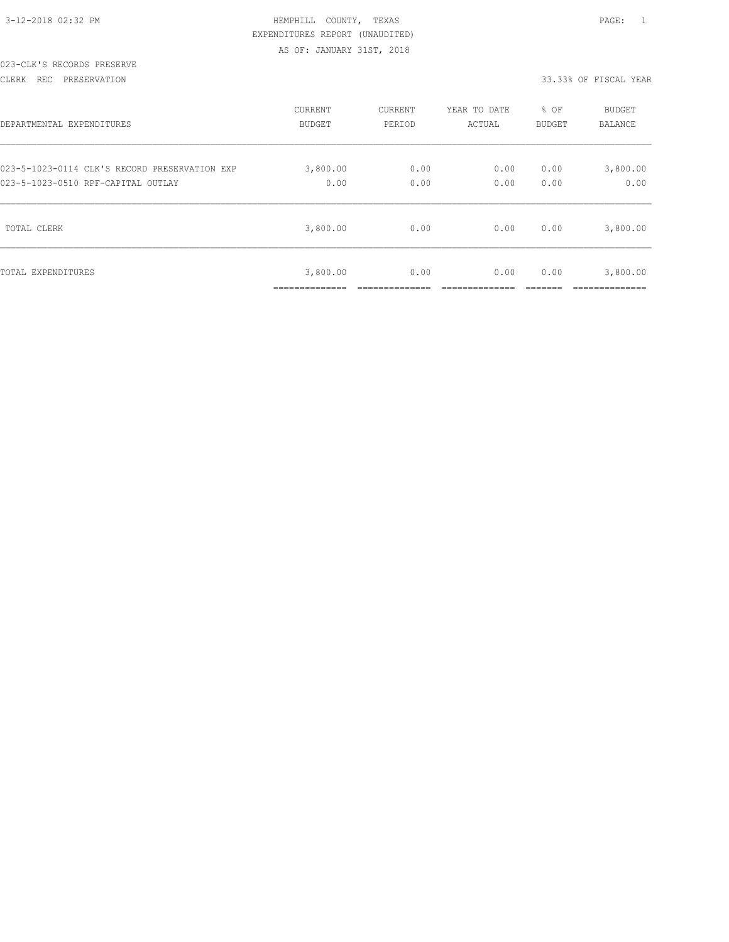|  | 3-12-2018 02:32 PM |  |
|--|--------------------|--|

#### 023-CLK'S RECORDS PRESERVE

#### CLERK REC PRESERVATION 33.33% OF FISCAL YEAR

| DEPARTMENTAL EXPENDITURES                     | <b>CURRENT</b>             | CURRENT | YEAR TO DATE | % OF   | <b>BUDGET</b>             |
|-----------------------------------------------|----------------------------|---------|--------------|--------|---------------------------|
|                                               | <b>BUDGET</b>              | PERIOD  | ACTUAL       | BUDGET | <b>BALANCE</b>            |
| 023-5-1023-0114 CLK'S RECORD PRESERVATION EXP | 3,800.00                   | 0.00    | 0.00         | 0.00   | 3,800.00                  |
| 023-5-1023-0510 RPF-CAPITAL OUTLAY            | 0.00                       | 0.00    | 0.00         | 0.00   | 0.00                      |
| TOTAL CLERK                                   | 3,800.00                   | 0.00    | 0.00         | 0.00   | 3,800.00                  |
| TOTAL EXPENDITURES                            | 3,800.00<br>______________ | 0.00    | 0.00         | 0.00   | 3,800.00<br>_____________ |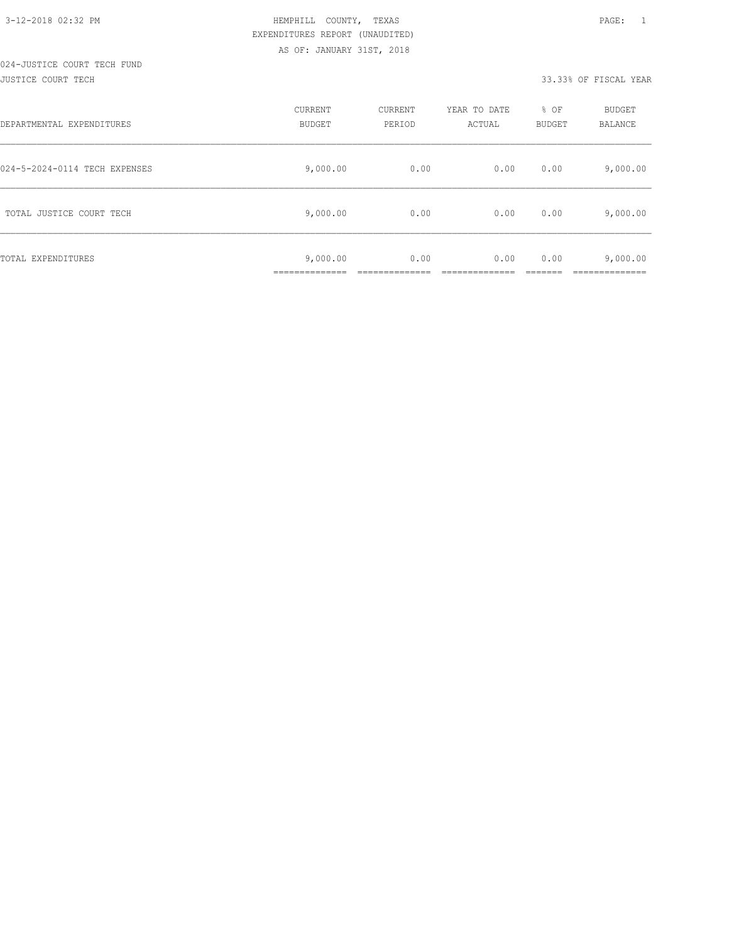# 024-JUSTICE COURT TECH FUND

#### JUSTICE COURT TECH 33.33% OF FISCAL YEAR

| DEPARTMENTAL EXPENDITURES     | CURRENT<br><b>BUDGET</b>  | CURRENT<br>PERIOD | YEAR TO DATE<br>ACTUAL | % OF<br><b>BUDGET</b> | <b>BUDGET</b><br>BALANCE |
|-------------------------------|---------------------------|-------------------|------------------------|-----------------------|--------------------------|
| 024-5-2024-0114 TECH EXPENSES | 9,000.00                  | 0.00              | 0.00                   | 0.00                  | 9,000.00                 |
| TOTAL JUSTICE COURT TECH      | 9,000.00                  | 0.00              | 0.00                   | 0.00                  | 9,000.00                 |
| TOTAL EXPENDITURES            | 9,000.00<br>------------- | 0.00              | 0.00                   | 0.00                  | 9,000.00<br>___________  |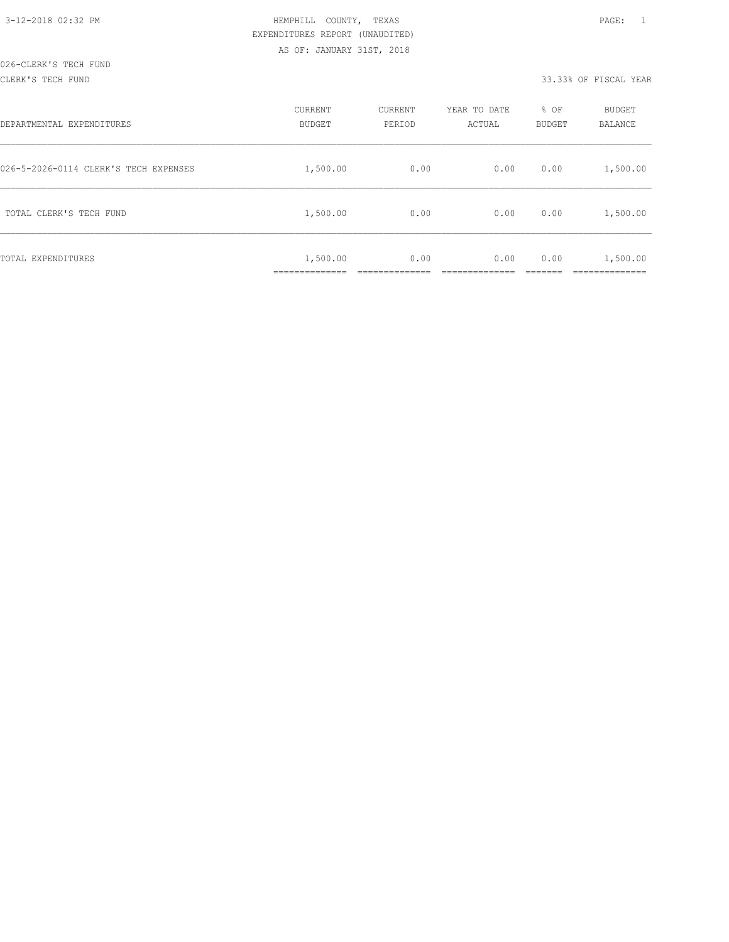#### CLERK'S TECH FUND 33.33% OF FISCAL YEAR

| DEPARTMENTAL EXPENDITURES             | CURRENT<br><b>BUDGET</b> | CURRENT<br>PERIOD | YEAR TO DATE<br>ACTUAL | % OF<br>BUDGET | BUDGET<br>BALANCE      |
|---------------------------------------|--------------------------|-------------------|------------------------|----------------|------------------------|
| 026-5-2026-0114 CLERK'S TECH EXPENSES | 1,500.00                 | 0.00              | 0.00                   | 0.00           | 1,500.00               |
| TOTAL CLERK'S TECH FUND               | 1,500.00                 | 0.00              | 0.00                   | 0.00           | 1,500.00               |
| TOTAL EXPENDITURES                    | 1,500.00<br>.            | 0.00              | 0.00                   | 0.00           | 1,500.00<br>__________ |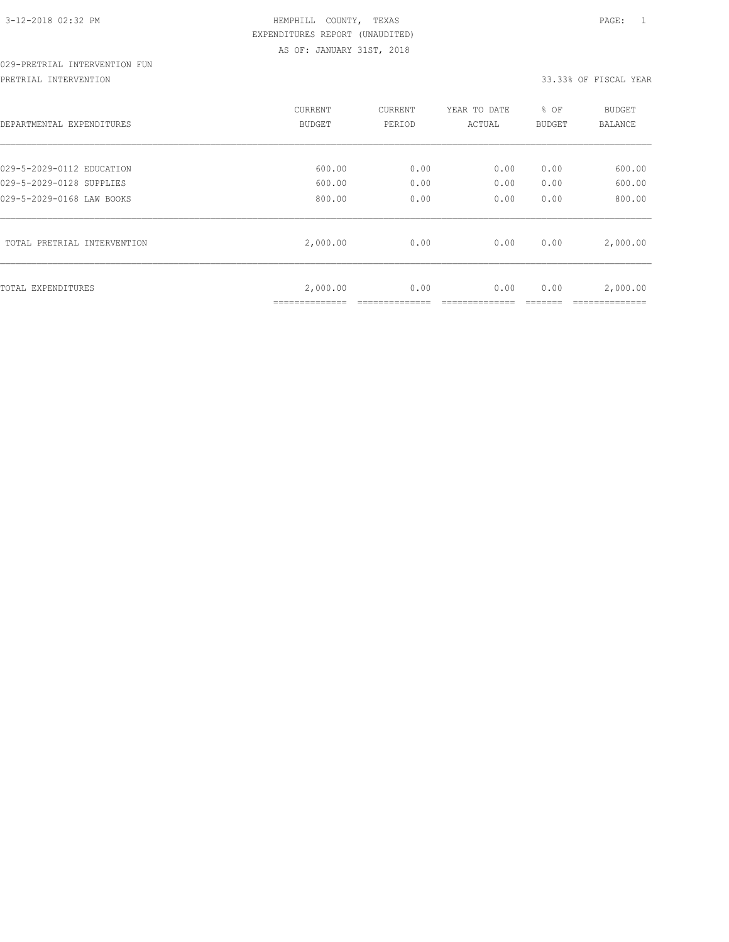## 029-PRETRIAL INTERVENTION FUN

PRETRIAL INTERVENTION 33.33% OF FISCAL YEAR

| DEPARTMENTAL EXPENDITURES                             | CURRENT<br><b>BUDGET</b> | CURRENT<br>PERIOD | YEAR TO DATE<br>ACTUAL | % OF<br>BUDGET | <b>BUDGET</b><br>BALANCE |
|-------------------------------------------------------|--------------------------|-------------------|------------------------|----------------|--------------------------|
| 029-5-2029-0112 EDUCATION                             | 600.00                   | 0.00              | 0.00                   | 0.00           | 600.00                   |
| 029-5-2029-0128 SUPPLIES<br>029-5-2029-0168 LAW BOOKS | 600.00<br>800.00         | 0.00<br>0.00      | 0.00<br>0.00           | 0.00<br>0.00   | 600.00<br>800.00         |
| TOTAL PRETRIAL INTERVENTION                           | 2,000.00                 | 0.00              | 0.00                   | 0.00           | 2,000.00                 |
| TOTAL EXPENDITURES                                    | 2,000.00<br>____________ | 0.00              | 0.00                   | 0.00           | 2,000.00                 |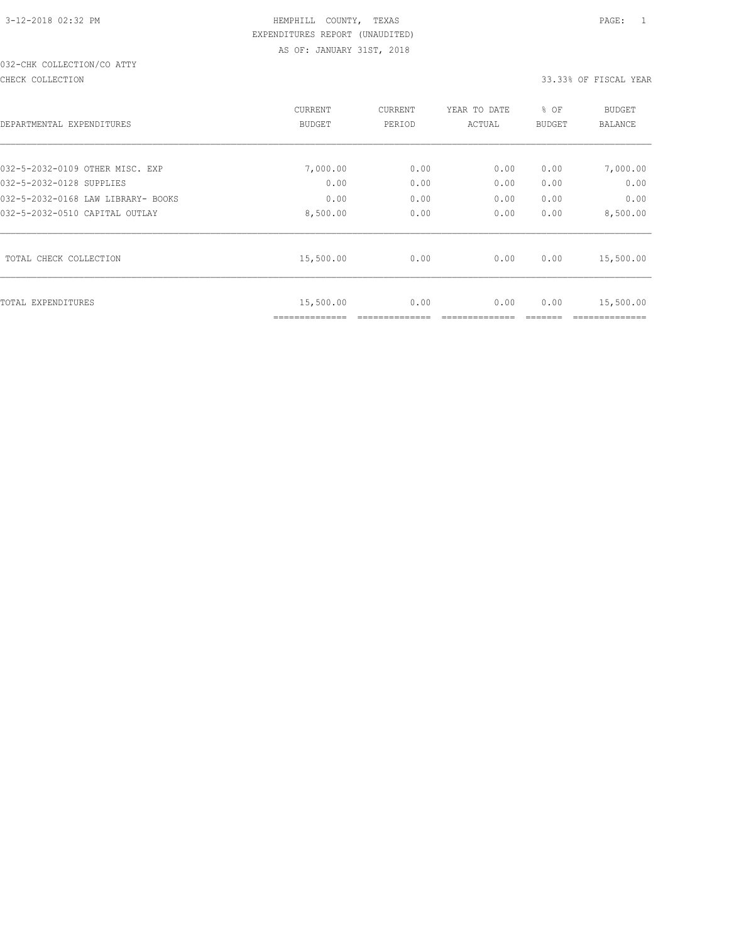## 032-CHK COLLECTION/CO ATTY

CHECK COLLECTION 33.33% OF FISCAL YEAR

| DEPARTMENTAL EXPENDITURES          | CURRENT<br>BUDGET | <b>CURRENT</b><br>PERIOD | YEAR TO DATE<br>ACTUAL | % OF<br>BUDGET | <b>BUDGET</b><br>BALANCE |
|------------------------------------|-------------------|--------------------------|------------------------|----------------|--------------------------|
| 032-5-2032-0109 OTHER MISC. EXP    | 7,000.00          | 0.00                     | 0.00                   | 0.00           | 7,000.00                 |
| 032-5-2032-0128 SUPPLIES           | 0.00              | 0.00                     | 0.00                   | 0.00           | 0.00                     |
| 032-5-2032-0168 LAW LIBRARY- BOOKS | 0.00              | 0.00                     | 0.00                   | 0.00           | 0.00                     |
| 032-5-2032-0510 CAPITAL OUTLAY     | 8,500.00          | 0.00                     | 0.00                   | 0.00           | 8,500.00                 |
| TOTAL CHECK COLLECTION             | 15,500.00         | 0.00                     | 0.00                   | 0.00           | 15,500.00                |
| TOTAL EXPENDITURES                 | 15,500.00         | 0.00                     | 0.00                   | 0.00           | 15,500.00                |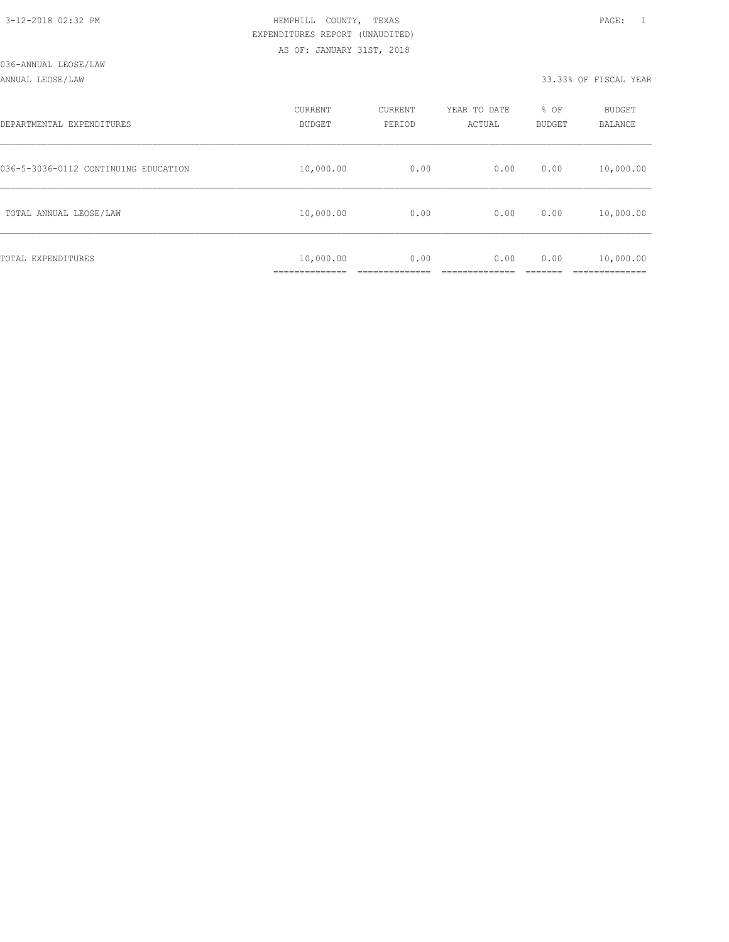#### ANNUAL LEOSE/LAW 33.33% OF FISCAL YEAR

| DEPARTMENTAL EXPENDITURES            | CURRENT<br><b>BUDGET</b>  | CURRENT<br>PERIOD | YEAR TO DATE<br>ACTUAL | % OF<br>BUDGET | BUDGET<br>BALANCE        |
|--------------------------------------|---------------------------|-------------------|------------------------|----------------|--------------------------|
| 036-5-3036-0112 CONTINUING EDUCATION | 10,000.00                 | 0.00              | 0.00                   | 0.00           | 10,000.00                |
| TOTAL ANNUAL LEOSE/LAW               | 10,000.00                 | 0.00              | 0.00                   | 0.00           | 10,000.00                |
| TOTAL EXPENDITURES                   | 10,000.00<br>____________ | 0.00              | 0.00                   | 0.00           | 10,000.00<br>----------- |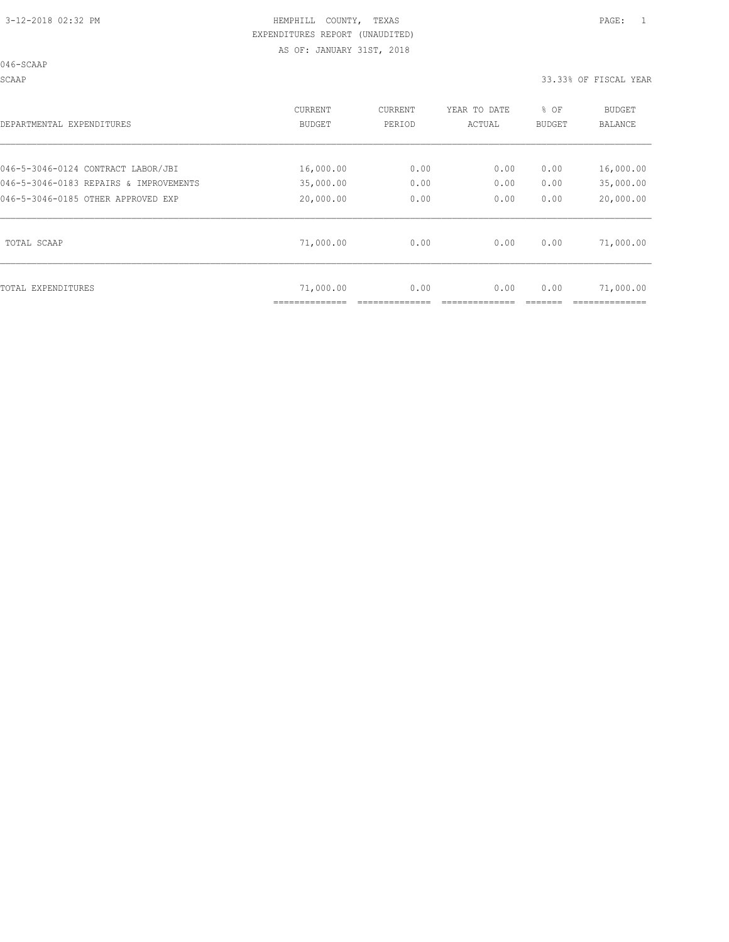046-SCAAP

SCAAP 33.33% OF FISCAL YEAR

| DEPARTMENTAL EXPENDITURES              | <b>CURRENT</b><br><b>BUDGET</b> | CURRENT<br>PERIOD | YEAR TO DATE<br>ACTUAL | % OF<br><b>BUDGET</b> | <b>BUDGET</b><br><b>BALANCE</b> |
|----------------------------------------|---------------------------------|-------------------|------------------------|-----------------------|---------------------------------|
| 046-5-3046-0124 CONTRACT LABOR/JBI     | 16,000.00                       | 0.00              | 0.00                   | 0.00                  | 16,000.00                       |
| 046-5-3046-0183 REPAIRS & IMPROVEMENTS | 35,000.00                       | 0.00              | 0.00                   | 0.00                  | 35,000.00                       |
| 046-5-3046-0185 OTHER APPROVED EXP     | 20,000.00                       | 0.00              | 0.00                   | 0.00                  | 20,000.00                       |
| TOTAL SCAAP                            | 71,000.00                       | 0.00              | 0.00                   | 0.00                  | 71,000.00                       |
| TOTAL EXPENDITURES                     | 71,000.00                       | 0.00              | 0.00                   | 0.00                  | 71,000.00                       |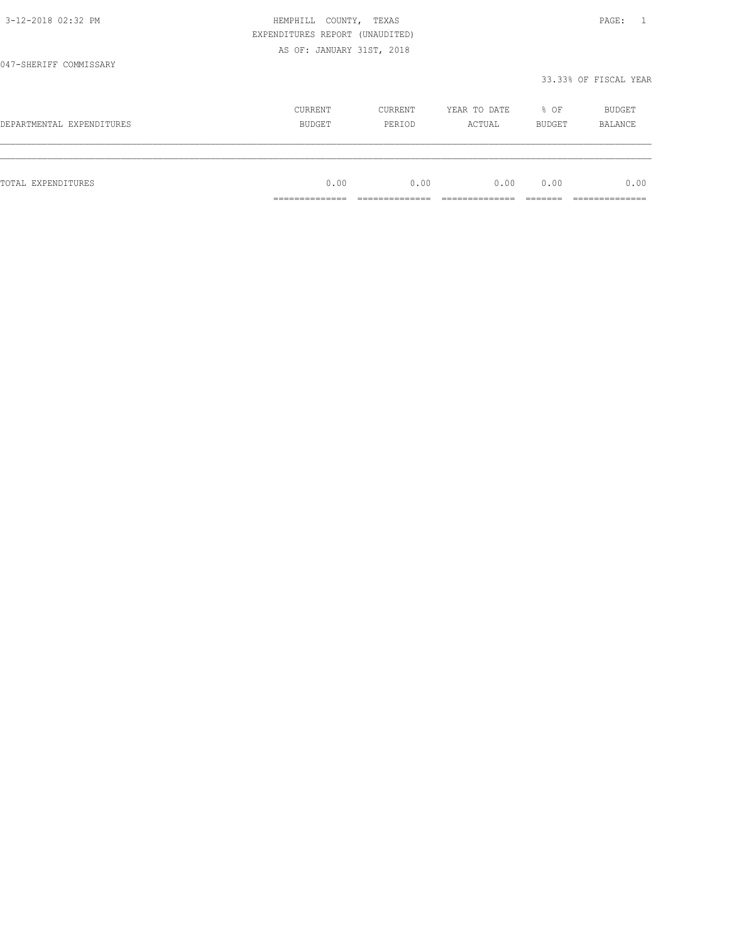|                           | EXPENDITURES REPORT (UNAUDITED) |         |              |        |                       |
|---------------------------|---------------------------------|---------|--------------|--------|-----------------------|
|                           | AS OF: JANUARY 31ST, 2018       |         |              |        |                       |
| 047-SHERIFF COMMISSARY    |                                 |         |              |        |                       |
|                           |                                 |         |              |        | 33.33% OF FISCAL YEAR |
|                           | CURRENT                         | CURRENT | YEAR TO DATE | % OF   | BUDGET                |
| DEPARTMENTAL EXPENDITURES | BUDGET                          | PERIOD  | ACTUAL       | BUDGET | BALANCE               |
|                           |                                 |         |              |        |                       |
| TOTAL EXPENDITURES        | 0.00                            | 0.00    | 0.00         | 0.00   | 0.00                  |
|                           |                                 |         |              |        |                       |

3-12-2018 02:32 PM HEMPHILL COUNTY, TEXAS PAGE: 1